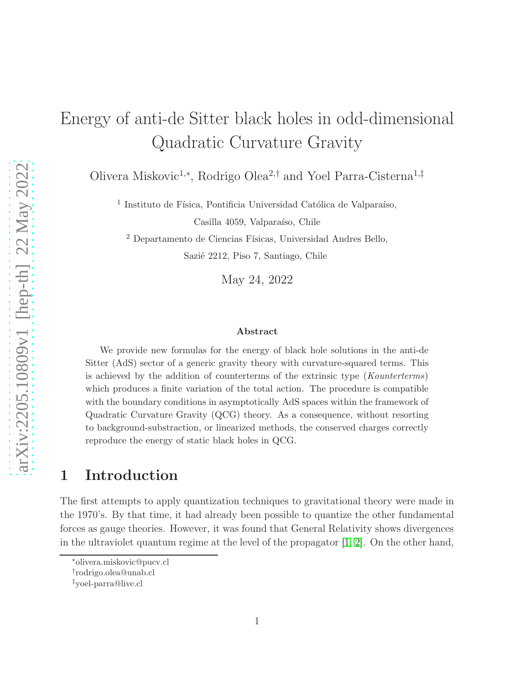# Energy of anti-de Sitter black holes in odd-dimensional Quadratic Curvature Gravity

Olivera Miskovic<sup>1</sup>,<sup>∗</sup> , Rodrigo Olea<sup>2</sup>,† and Yoel Parra-Cisterna<sup>1</sup>,‡

<sup>1</sup> Instituto de Física, Pontificia Universidad Católica de Valparaíso, Casilla 4059, Valparaíso, Chile

 $^2$  Departamento de Ciencias Físicas, Universidad Andres Bello,

Sazié 2212, Piso 7, Santiago, Chile

May 24, 2022

#### Abstract

We provide new formulas for the energy of black hole solutions in the anti-de Sitter (AdS) sector of a generic gravity theory with curvature-squared terms. This is achieved by the addition of counterterms of the extrinsic type (Kounterterms) which produces a finite variation of the total action. The procedure is compatible with the boundary conditions in asymptotically AdS spaces within the framework of Quadratic Curvature Gravity (QCG) theory. As a consequence, without resorting to background-substraction, or linearized methods, the conserved charges correctly reproduce the energy of static black holes in QCG.

# 1 Introduction

The first attempts to apply quantization techniques to gravitational theory were made in the 1970's. By that time, it had already been possible to quantize the other fundamental forces as gauge theories. However, it was found that General Relativity shows divergences in the ultraviolet quantum regime at the level of the propagator  $[1, 2]$  $[1, 2]$ . On the other hand,

<sup>∗</sup>olivera.miskovic@pucv.cl

<sup>†</sup> rodrigo.olea@unab.cl

<sup>‡</sup>yoel-parra@live.cl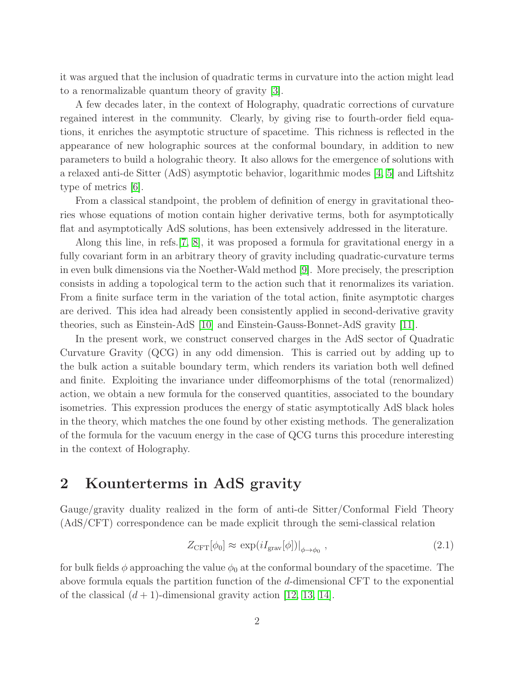it was argued that the inclusion of quadratic terms in curvature into the action might lead to a renormalizable quantum theory of gravity [\[3\]](#page-22-2).

A few decades later, in the context of Holography, quadratic corrections of curvature regained interest in the community. Clearly, by giving rise to fourth-order field equations, it enriches the asymptotic structure of spacetime. This richness is reflected in the appearance of new holographic sources at the conformal boundary, in addition to new parameters to build a holograhic theory. It also allows for the emergence of solutions with a relaxed anti-de Sitter (AdS) asymptotic behavior, logarithmic modes [\[4,](#page-22-3) [5\]](#page-22-4) and Liftshitz type of metrics [\[6\]](#page-22-5).

From a classical standpoint, the problem of definition of energy in gravitational theories whose equations of motion contain higher derivative terms, both for asymptotically flat and asymptotically AdS solutions, has been extensively addressed in the literature.

Along this line, in refs.[\[7,](#page-22-6) [8\]](#page-22-7), it was proposed a formula for gravitational energy in a fully covariant form in an arbitrary theory of gravity including quadratic-curvature terms in even bulk dimensions via the Noether-Wald method [\[9\]](#page-22-8). More precisely, the prescription consists in adding a topological term to the action such that it renormalizes its variation. From a finite surface term in the variation of the total action, finite asymptotic charges are derived. This idea had already been consistently applied in second-derivative gravity theories, such as Einstein-AdS [\[10\]](#page-22-9) and Einstein-Gauss-Bonnet-AdS gravity [\[11\]](#page-22-10).

In the present work, we construct conserved charges in the AdS sector of Quadratic Curvature Gravity (QCG) in any odd dimension. This is carried out by adding up to the bulk action a suitable boundary term, which renders its variation both well defined and finite. Exploiting the invariance under diffeomorphisms of the total (renormalized) action, we obtain a new formula for the conserved quantities, associated to the boundary isometries. This expression produces the energy of static asymptotically AdS black holes in the theory, which matches the one found by other existing methods. The generalization of the formula for the vacuum energy in the case of QCG turns this procedure interesting in the context of Holography.

## 2 Kounterterms in AdS gravity

Gauge/gravity duality realized in the form of anti-de Sitter/Conformal Field Theory (AdS/CFT) correspondence can be made explicit through the semi-classical relation

$$
Z_{\text{CFT}}[\phi_0] \approx \exp(iI_{\text{grav}}[\phi])|_{\phi \to \phi_0} \,, \tag{2.1}
$$

for bulk fields  $\phi$  approaching the value  $\phi_0$  at the conformal boundary of the spacetime. The above formula equals the partition function of the d-dimensional CFT to the exponential of the classical  $(d+1)$ -dimensional gravity action [\[12,](#page-22-11) [13,](#page-22-12) [14\]](#page-23-0).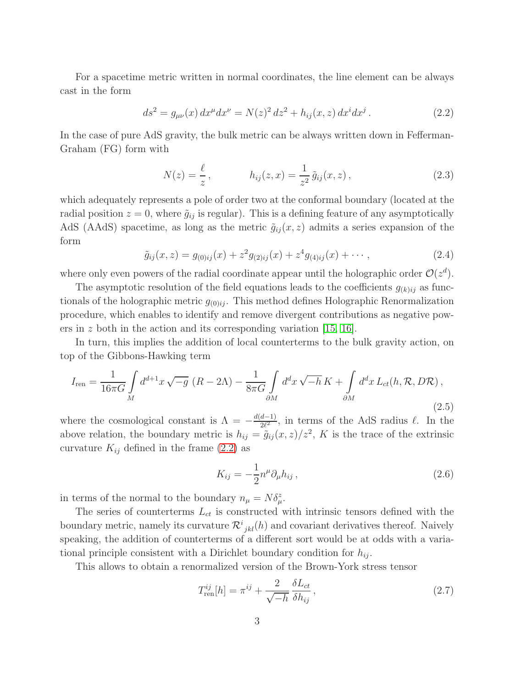For a spacetime metric written in normal coordinates, the line element can be always cast in the form

<span id="page-2-0"></span>
$$
ds^{2} = g_{\mu\nu}(x) dx^{\mu} dx^{\nu} = N(z)^{2} dz^{2} + h_{ij}(x, z) dx^{i} dx^{j}. \qquad (2.2)
$$

In the case of pure AdS gravity, the bulk metric can be always written down in Fefferman-Graham (FG) form with

$$
N(z) = \frac{\ell}{z}, \qquad h_{ij}(z, x) = \frac{1}{z^2} \tilde{g}_{ij}(x, z), \qquad (2.3)
$$

which adequately represents a pole of order two at the conformal boundary (located at the radial position  $z = 0$ , where  $\tilde{g}_{ij}$  is regular). This is a defining feature of any asymptotically AdS (AAdS) spacetime, as long as the metric  $\tilde{g}_{ij}(x, z)$  admits a series expansion of the form

$$
\tilde{g}_{ij}(x,z) = g_{(0)ij}(x) + z^2 g_{(2)ij}(x) + z^4 g_{(4)ij}(x) + \cdots, \qquad (2.4)
$$

where only even powers of the radial coordinate appear until the holographic order  $\mathcal{O}(z^d)$ .

The asymptotic resolution of the field equations leads to the coefficients  $g_{(k)ij}$  as functionals of the holographic metric  $g_{(0)ij}$ . This method defines Holographic Renormalization procedure, which enables to identify and remove divergent contributions as negative powers in z both in the action and its corresponding variation  $[15, 16]$  $[15, 16]$ .

In turn, this implies the addition of local counterterms to the bulk gravity action, on top of the Gibbons-Hawking term

$$
I_{\rm ren} = \frac{1}{16\pi G} \int\limits_M d^{d+1}x \sqrt{-g} \left( R - 2\Lambda \right) - \frac{1}{8\pi G} \int\limits_{\partial M} d^d x \sqrt{-h} \, K + \int\limits_{\partial M} d^d x \, L_{ct}(h, \mathcal{R}, D\mathcal{R}) \,, \tag{2.5}
$$

where the cosmological constant is  $\Lambda = -\frac{d(d-1)}{2\ell^2}$  $\frac{a-1}{2\ell^2}$ , in terms of the AdS radius  $\ell$ . In the above relation, the boundary metric is  $h_{ij} = \tilde{g}_{ij}(x, z)/z^2$ , K is the trace of the extrinsic curvature  $K_{ij}$  defined in the frame [\(2.2\)](#page-2-0) as

$$
K_{ij} = -\frac{1}{2}n^{\mu}\partial_{\mu}h_{ij},\qquad(2.6)
$$

in terms of the normal to the boundary  $n_{\mu} = N \delta_{\mu}^{z}$ .

The series of counterterms  $L_{ct}$  is constructed with intrinsic tensors defined with the boundary metric, namely its curvature  $\mathcal{R}^{i}_{jkl}(h)$  and covariant derivatives thereof. Naively speaking, the addition of counterterms of a different sort would be at odds with a variational principle consistent with a Dirichlet boundary condition for  $h_{ij}$ .

This allows to obtain a renormalized version of the Brown-York stress tensor

<span id="page-2-1"></span>
$$
T_{\text{ren}}^{ij}[h] = \pi^{ij} + \frac{2}{\sqrt{-h}} \frac{\delta L_{ct}}{\delta h_{ij}},\qquad(2.7)
$$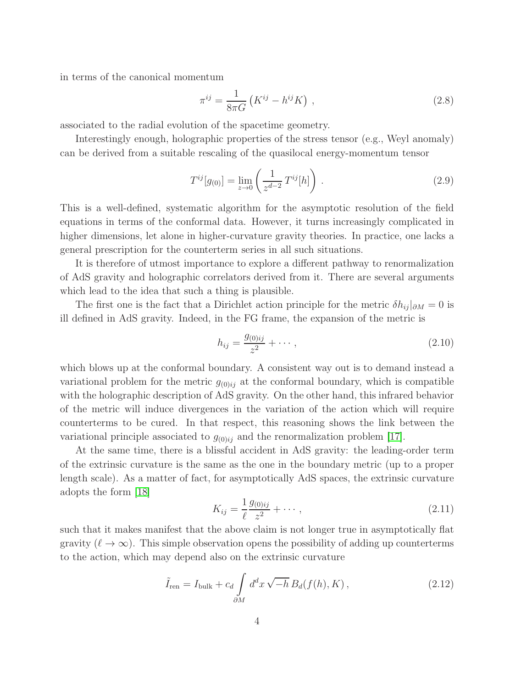in terms of the canonical momentum

<span id="page-3-0"></span>
$$
\pi^{ij} = \frac{1}{8\pi G} \left( K^{ij} - h^{ij} K \right) ,\qquad (2.8)
$$

associated to the radial evolution of the spacetime geometry.

Interestingly enough, holographic properties of the stress tensor (e.g., Weyl anomaly) can be derived from a suitable rescaling of the quasilocal energy-momentum tensor

$$
T^{ij}[g_{(0)}] = \lim_{z \to 0} \left( \frac{1}{z^{d-2}} T^{ij}[h] \right).
$$
 (2.9)

This is a well-defined, systematic algorithm for the asymptotic resolution of the field equations in terms of the conformal data. However, it turns increasingly complicated in higher dimensions, let alone in higher-curvature gravity theories. In practice, one lacks a general prescription for the counterterm series in all such situations.

It is therefore of utmost importance to explore a different pathway to renormalization of AdS gravity and holographic correlators derived from it. There are several arguments which lead to the idea that such a thing is plausible.

The first one is the fact that a Dirichlet action principle for the metric  $\delta h_{ij}|_{\partial M} = 0$  is ill defined in AdS gravity. Indeed, in the FG frame, the expansion of the metric is

$$
h_{ij} = \frac{g_{(0)ij}}{z^2} + \cdots, \qquad (2.10)
$$

which blows up at the conformal boundary. A consistent way out is to demand instead a variational problem for the metric  $g_{(0)ij}$  at the conformal boundary, which is compatible with the holographic description of AdS gravity. On the other hand, this infrared behavior of the metric will induce divergences in the variation of the action which will require counterterms to be cured. In that respect, this reasoning shows the link between the variational principle associated to  $g_{(0)ij}$  and the renormalization problem [\[17\]](#page-23-3).

At the same time, there is a blissful accident in AdS gravity: the leading-order term of the extrinsic curvature is the same as the one in the boundary metric (up to a proper length scale). As a matter of fact, for asymptotically AdS spaces, the extrinsic curvature adopts the form [\[18\]](#page-23-4)

$$
K_{ij} = \frac{1}{\ell} \frac{g_{(0)ij}}{z^2} + \cdots, \qquad (2.11)
$$

such that it makes manifest that the above claim is not longer true in asymptotically flat gravity  $(\ell \to \infty)$ . This simple observation opens the possibility of adding up counterterms to the action, which may depend also on the extrinsic curvature

$$
\tilde{I}_{\text{ren}} = I_{\text{bulk}} + c_d \int_{\partial M} d^d x \sqrt{-h} B_d(f(h), K) , \qquad (2.12)
$$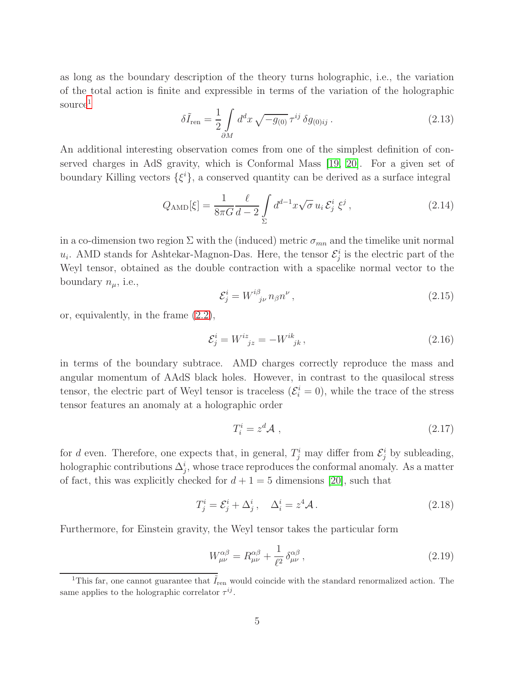as long as the boundary description of the theory turns holographic, i.e., the variation of the total action is finite and expressible in terms of the variation of the holographic source<sup>[1](#page-4-0)</sup>

$$
\delta \tilde{I}_{\text{ren}} = \frac{1}{2} \int_{\partial M} d^d x \sqrt{-g_{(0)}} \,\tau^{ij} \,\delta g_{(0)ij} \,. \tag{2.13}
$$

An additional interesting observation comes from one of the simplest definition of conserved charges in AdS gravity, which is Conformal Mass [\[19,](#page-23-5) [20\]](#page-23-6). For a given set of boundary Killing vectors  $\{\xi^i\}$ , a conserved quantity can be derived as a surface integral

$$
Q_{\rm AMD}[\xi] = \frac{1}{8\pi G} \frac{\ell}{d-2} \int\limits_{\Sigma} d^{d-1}x \sqrt{\sigma} \, u_i \, \mathcal{E}_j^i \, \xi^j \,, \tag{2.14}
$$

in a co-dimension two region  $\Sigma$  with the (induced) metric  $\sigma_{mn}$  and the timelike unit normal  $u_i$ . AMD stands for Ashtekar-Magnon-Das. Here, the tensor  $\mathcal{E}^i_j$  is the electric part of the Weyl tensor, obtained as the double contraction with a spacelike normal vector to the boundary  $n_{\mu}$ , i.e.,

$$
\mathcal{E}_j^i = W^{i\beta}_{\ \ j\nu} n_\beta n^\nu \,, \tag{2.15}
$$

or, equivalently, in the frame [\(2.2\)](#page-2-0),

$$
\mathcal{E}_j^i = W^{iz}_{\ \ jz} = -W^{ik}_{\ \ jk},\tag{2.16}
$$

in terms of the boundary subtrace. AMD charges correctly reproduce the mass and angular momentum of AAdS black holes. However, in contrast to the quasilocal stress tensor, the electric part of Weyl tensor is traceless  $(\mathcal{E}_{i}^{i}=0)$ , while the trace of the stress tensor features an anomaly at a holographic order

$$
T_i^i = z^d \mathcal{A} \t\t(2.17)
$$

for d even. Therefore, one expects that, in general,  $T_j^i$  may differ from  $\mathcal{E}_j^i$  by subleading, holographic contributions  $\Delta_j^i$ , whose trace reproduces the conformal anomaly. As a matter of fact, this was explicitly checked for  $d + 1 = 5$  dimensions [\[20\]](#page-23-6), such that

$$
T_j^i = \mathcal{E}_j^i + \Delta_j^i \,, \quad \Delta_i^i = z^4 \mathcal{A} \,. \tag{2.18}
$$

Furthermore, for Einstein gravity, the Weyl tensor takes the particular form

$$
W^{\alpha\beta}_{\mu\nu} = R^{\alpha\beta}_{\mu\nu} + \frac{1}{\ell^2} \delta^{\alpha\beta}_{\mu\nu}, \qquad (2.19)
$$

<span id="page-4-0"></span><sup>&</sup>lt;sup>1</sup>This far, one cannot guarantee that  $\tilde{I}_{ren}$  would coincide with the standard renormalized action. The same applies to the holographic correlator  $\tau^{ij}$ .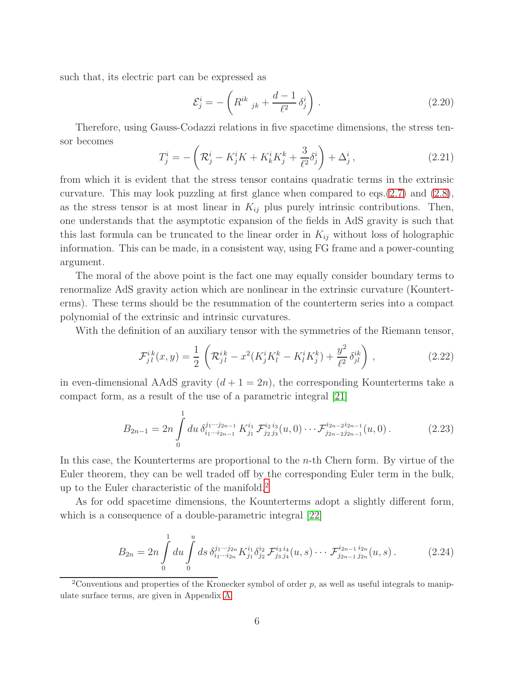such that, its electric part can be expressed as

$$
\mathcal{E}_j^i = -\left(R^{ik}_{jk} + \frac{d-1}{\ell^2} \delta_j^i\right). \tag{2.20}
$$

Therefore, using Gauss-Codazzi relations in five spacetime dimensions, the stress tensor becomes

$$
T_j^i = -\left(\mathcal{R}_j^i - K_j^i K + K_k^i K_j^k + \frac{3}{\ell^2} \delta_j^i\right) + \Delta_j^i\,,\tag{2.21}
$$

from which it is evident that the stress tensor contains quadratic terms in the extrinsic curvature. This may look puzzling at first glance when compared to eqs.[\(2.7\)](#page-2-1) and [\(2.8\)](#page-3-0), as the stress tensor is at most linear in  $K_{ij}$  plus purely intrinsic contributions. Then, one understands that the asymptotic expansion of the fields in AdS gravity is such that this last formula can be truncated to the linear order in  $K_{ij}$  without loss of holographic information. This can be made, in a consistent way, using FG frame and a power-counting argument.

The moral of the above point is the fact one may equally consider boundary terms to renormalize AdS gravity action which are nonlinear in the extrinsic curvature (Kounterterms). These terms should be the resummation of the counterterm series into a compact polynomial of the extrinsic and intrinsic curvatures.

With the definition of an auxiliary tensor with the symmetries of the Riemann tensor,

$$
\mathcal{F}_{j\,l}^{ik}(x,y) = \frac{1}{2} \left( \mathcal{R}_{j\,l}^{ik} - x^2 (K_j^i K_l^k - K_l^i K_j^k) + \frac{y^2}{\ell^2} \delta_{jl}^{ik} \right) , \qquad (2.22)
$$

in even-dimensional AAdS gravity  $(d+1=2n)$ , the corresponding Kounterterms take a compact form, as a result of the use of a parametric integral [\[21\]](#page-23-7)

$$
B_{2n-1} = 2n \int_0^1 du \, \delta_{i_1 \cdots i_{2n-1}}^{j_1 \cdots j_{2n-1}} K_{j_1}^{i_1} \mathcal{F}_{j_2 j_3}^{i_2 i_3}(u,0) \cdots \mathcal{F}_{j_{2n-2} j_{2n-1}}^{i_{2n-2} i_{2n-1}}(u,0).
$$
 (2.23)

In this case, the Kounterterms are proportional to the  $n$ -th Chern form. By virtue of the Euler theorem, they can be well traded off by the corresponding Euler term in the bulk, up to the Euler characteristic of the manifold.[2](#page-5-0)

As for odd spacetime dimensions, the Kounterterms adopt a slightly different form, which is a consequence of a double-parametric integral [\[22\]](#page-23-8)

<span id="page-5-1"></span>
$$
B_{2n} = 2n \int_0^1 du \int_0^u ds \, \delta_{i_1 \cdots i_{2n}}^{j_1 \cdots j_{2n}} K_{j_1}^{i_1} \delta_{j_2}^{i_2} \mathcal{F}_{j_3 j_4}^{i_3 i_4}(u, s) \cdots \mathcal{F}_{j_{2n-1} j_{2n}}^{i_{2n-1} i_{2n}}(u, s) \,. \tag{2.24}
$$

<span id="page-5-0"></span><sup>2</sup>Conventions and properties of the Kronecker symbol of order  $p$ , as well as useful integrals to manipulate surface terms, are given in Appendix [A.](#page-18-0)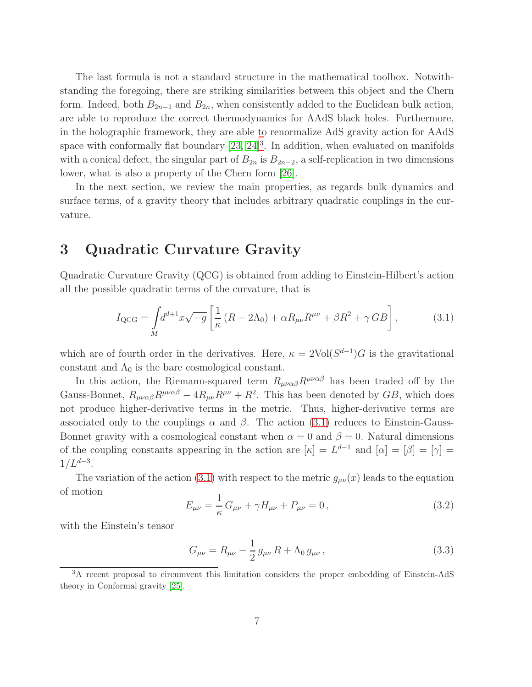The last formula is not a standard structure in the mathematical toolbox. Notwithstanding the foregoing, there are striking similarities between this object and the Chern form. Indeed, both  $B_{2n-1}$  and  $B_{2n}$ , when consistently added to the Euclidean bulk action, are able to reproduce the correct thermodynamics for AAdS black holes. Furthermore, in the holographic framework, they are able to renormalize AdS gravity action for AAdS space with conformally flat boundary  $[23, 24]^3$  $[23, 24]^3$  $[23, 24]^3$  $[23, 24]^3$ . In addition, when evaluated on manifolds with a conical defect, the singular part of  $B_{2n}$  is  $B_{2n-2}$ , a self-replication in two dimensions lower, what is also a property of the Chern form [\[26\]](#page-23-11).

In the next section, we review the main properties, as regards bulk dynamics and surface terms, of a gravity theory that includes arbitrary quadratic couplings in the curvature.

#### <span id="page-6-3"></span>3 Quadratic Curvature Gravity

Quadratic Curvature Gravity (QCG) is obtained from adding to Einstein-Hilbert's action all the possible quadratic terms of the curvature, that is

<span id="page-6-1"></span>
$$
I_{\rm QCG} = \int_M d^{d+1}x \sqrt{-g} \left[ \frac{1}{\kappa} \left( R - 2\Lambda_0 \right) + \alpha R_{\mu\nu} R^{\mu\nu} + \beta R^2 + \gamma \, GB \right],\tag{3.1}
$$

which are of fourth order in the derivatives. Here,  $\kappa = 2\text{Vol}(S^{d-1})G$  is the gravitational constant and  $\Lambda_0$  is the bare cosmological constant.

In this action, the Riemann-squared term  $R_{\mu\nu\alpha\beta}R^{\mu\nu\alpha\beta}$  has been traded off by the Gauss-Bonnet,  $R_{\mu\nu\alpha\beta}R^{\mu\nu\alpha\beta} - 4R_{\mu\nu}R^{\mu\nu} + R^2$ . This has been denoted by  $GB$ , which does not produce higher-derivative terms in the metric. Thus, higher-derivative terms are associated only to the couplings  $\alpha$  and  $\beta$ . The action [\(3.1\)](#page-6-1) reduces to Einstein-Gauss-Bonnet gravity with a cosmological constant when  $\alpha = 0$  and  $\beta = 0$ . Natural dimensions of the coupling constants appearing in the action are  $[\kappa] = L^{d-1}$  and  $[\alpha] = [\beta] = [\gamma] =$  $1/L^{d-3}$ .

The variation of the action [\(3.1\)](#page-6-1) with respect to the metric  $g_{\mu\nu}(x)$  leads to the equation of motion

<span id="page-6-2"></span>
$$
E_{\mu\nu} = \frac{1}{\kappa} G_{\mu\nu} + \gamma H_{\mu\nu} + P_{\mu\nu} = 0, \qquad (3.2)
$$

with the Einstein's tensor

$$
G_{\mu\nu} = R_{\mu\nu} - \frac{1}{2} g_{\mu\nu} R + \Lambda_0 g_{\mu\nu} , \qquad (3.3)
$$

<span id="page-6-0"></span><sup>3</sup>A recent proposal to circumvent this limitation considers the proper embedding of Einstein-AdS theory in Conformal gravity [\[25\]](#page-23-12).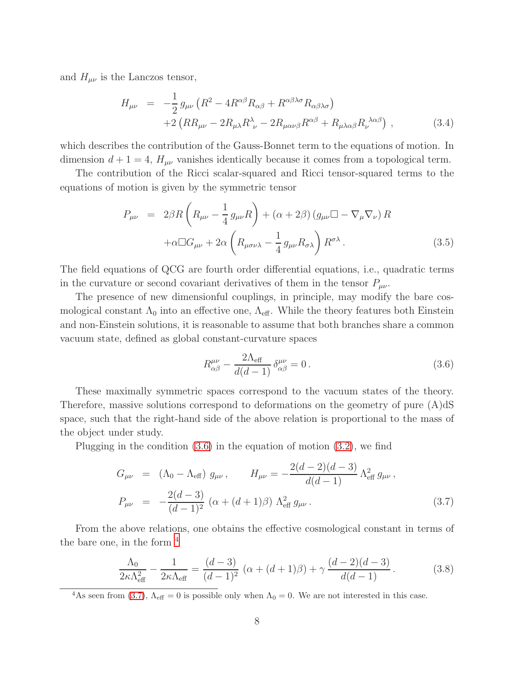and  $H_{\mu\nu}$  is the Lanczos tensor,

<span id="page-7-4"></span>
$$
H_{\mu\nu} = -\frac{1}{2} g_{\mu\nu} \left( R^2 - 4R^{\alpha\beta} R_{\alpha\beta} + R^{\alpha\beta\lambda\sigma} R_{\alpha\beta\lambda\sigma} \right) + 2 \left( R R_{\mu\nu} - 2R_{\mu\lambda} R^{\lambda}_{\ \nu} - 2R_{\mu\alpha\nu\beta} R^{\alpha\beta} + R_{\mu\lambda\alpha\beta} R^{\ \lambda\alpha\beta}_{\ \nu} \right),
$$
 (3.4)

which describes the contribution of the Gauss-Bonnet term to the equations of motion. In dimension  $d + 1 = 4$ ,  $H_{\mu\nu}$  vanishes identically because it comes from a topological term.

The contribution of the Ricci scalar-squared and Ricci tensor-squared terms to the equations of motion is given by the symmetric tensor

$$
P_{\mu\nu} = 2\beta R \left( R_{\mu\nu} - \frac{1}{4} g_{\mu\nu} R \right) + (\alpha + 2\beta) \left( g_{\mu\nu} \Box - \nabla_{\mu} \nabla_{\nu} \right) R + \alpha \Box G_{\mu\nu} + 2\alpha \left( R_{\mu\sigma\nu\lambda} - \frac{1}{4} g_{\mu\nu} R_{\sigma\lambda} \right) R^{\sigma\lambda} .
$$
 (3.5)

The field equations of QCG are fourth order differential equations, i.e., quadratic terms in the curvature or second covariant derivatives of them in the tensor  $P_{\mu\nu}$ .

The presence of new dimensionful couplings, in principle, may modify the bare cosmological constant  $\Lambda_0$  into an effective one,  $\Lambda_{\text{eff}}$ . While the theory features both Einstein and non-Einstein solutions, it is reasonable to assume that both branches share a common vacuum state, defined as global constant-curvature spaces

<span id="page-7-0"></span>
$$
R^{\mu\nu}_{\alpha\beta} - \frac{2\Lambda_{\text{eff}}}{d(d-1)} \delta^{\mu\nu}_{\alpha\beta} = 0.
$$
 (3.6)

These maximally symmetric spaces correspond to the vacuum states of the theory. Therefore, massive solutions correspond to deformations on the geometry of pure (A)dS space, such that the right-hand side of the above relation is proportional to the mass of the object under study.

Plugging in the condition  $(3.6)$  in the equation of motion  $(3.2)$ , we find

<span id="page-7-2"></span>
$$
G_{\mu\nu} = (\Lambda_0 - \Lambda_{\text{eff}}) g_{\mu\nu}, \qquad H_{\mu\nu} = -\frac{2(d-2)(d-3)}{d(d-1)} \Lambda_{\text{eff}}^2 g_{\mu\nu},
$$
  
\n
$$
P_{\mu\nu} = -\frac{2(d-3)}{(d-1)^2} (\alpha + (d+1)\beta) \Lambda_{\text{eff}}^2 g_{\mu\nu}.
$$
\n(3.7)

From the above relations, one obtains the effective cosmological constant in terms of the bare one, in the form  $4$ 

<span id="page-7-3"></span>
$$
\frac{\Lambda_0}{2\kappa\Lambda_{\text{eff}}^2} - \frac{1}{2\kappa\Lambda_{\text{eff}}} = \frac{(d-3)}{(d-1)^2} \left( \alpha + (d+1)\beta \right) + \gamma \frac{(d-2)(d-3)}{d(d-1)}.
$$
 (3.8)

<span id="page-7-1"></span><sup>4</sup>As seen from [\(3.7\)](#page-7-2),  $\Lambda_{\text{eff}} = 0$  is possible only when  $\Lambda_0 = 0$ . We are not interested in this case.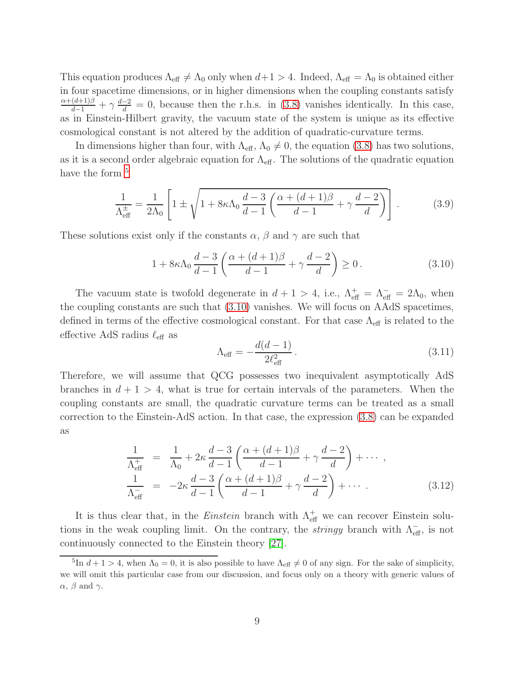This equation produces  $\Lambda_{\text{eff}} \neq \Lambda_0$  only when  $d+1 > 4$ . Indeed,  $\Lambda_{\text{eff}} = \Lambda_0$  is obtained either in four spacetime dimensions, or in higher dimensions when the coupling constants satisfy  $\frac{\alpha+(d+1)\beta}{d-1}+\gamma\frac{d-2}{d}=0$ , because then the r.h.s. in [\(3.8\)](#page-7-3) vanishes identically. In this case, as in Einstein-Hilbert gravity, the vacuum state of the system is unique as its effective cosmological constant is not altered by the addition of quadratic-curvature terms.

In dimensions higher than four, with  $\Lambda_{\text{eff}}$ ,  $\Lambda_0 \neq 0$ , the equation [\(3.8\)](#page-7-3) has two solutions, as it is a second order algebraic equation for  $\Lambda_{\text{eff}}$ . The solutions of the quadratic equation have the form <sup>[5](#page-8-0)</sup>

$$
\frac{1}{\Lambda_{\text{eff}}^{\pm}} = \frac{1}{2\Lambda_0} \left[ 1 \pm \sqrt{1 + 8\kappa \Lambda_0 \frac{d-3}{d-1} \left( \frac{\alpha + (d+1)\beta}{d-1} + \gamma \frac{d-2}{d} \right)} \right].
$$
 (3.9)

These solutions exist only if the constants  $\alpha$ ,  $\beta$  and  $\gamma$  are such that

<span id="page-8-1"></span>
$$
1 + 8\kappa \Lambda_0 \frac{d-3}{d-1} \left( \frac{\alpha + (d+1)\beta}{d-1} + \gamma \frac{d-2}{d} \right) \ge 0. \tag{3.10}
$$

The vacuum state is twofold degenerate in  $d + 1 > 4$ , i.e.,  $\Lambda_{\text{eff}}^{+} = \Lambda_{\text{eff}}^{-} = 2\Lambda_0$ , when the coupling constants are such that [\(3.10\)](#page-8-1) vanishes. We will focus on AAdS spacetimes, defined in terms of the effective cosmological constant. For that case  $\Lambda_{\text{eff}}$  is related to the effective AdS radius  $\ell_{\text{eff}}$  as

$$
\Lambda_{\text{eff}} = -\frac{d(d-1)}{2\ell_{\text{eff}}^2} \,. \tag{3.11}
$$

Therefore, we will assume that QCG possesses two inequivalent asymptotically AdS branches in  $d + 1 > 4$ , what is true for certain intervals of the parameters. When the coupling constants are small, the quadratic curvature terms can be treated as a small correction to the Einstein-AdS action. In that case, the expression [\(3.8\)](#page-7-3) can be expanded as

$$
\frac{1}{\Lambda_{\text{eff}}^{+}} = \frac{1}{\Lambda_{0}} + 2\kappa \frac{d-3}{d-1} \left( \frac{\alpha + (d+1)\beta}{d-1} + \gamma \frac{d-2}{d} \right) + \cdots ,
$$
\n
$$
\frac{1}{\Lambda_{\text{eff}}^{-}} = -2\kappa \frac{d-3}{d-1} \left( \frac{\alpha + (d+1)\beta}{d-1} + \gamma \frac{d-2}{d} \right) + \cdots . \tag{3.12}
$$

It is thus clear that, in the *Einstein* branch with  $\Lambda_{\text{eff}}^+$  we can recover Einstein solutions in the weak coupling limit. On the contrary, the *stringy* branch with  $\Lambda_{\text{eff}}^-$ , is not continuously connected to the Einstein theory [\[27\]](#page-23-13).

<span id="page-8-0"></span><sup>&</sup>lt;sup>5</sup>In  $d+1 > 4$ , when  $\Lambda_0 = 0$ , it is also possible to have  $\Lambda_{\text{eff}} \neq 0$  of any sign. For the sake of simplicity, we will omit this particular case from our discussion, and focus only on a theory with generic values of  $\alpha$ ,  $\beta$  and  $\gamma$ .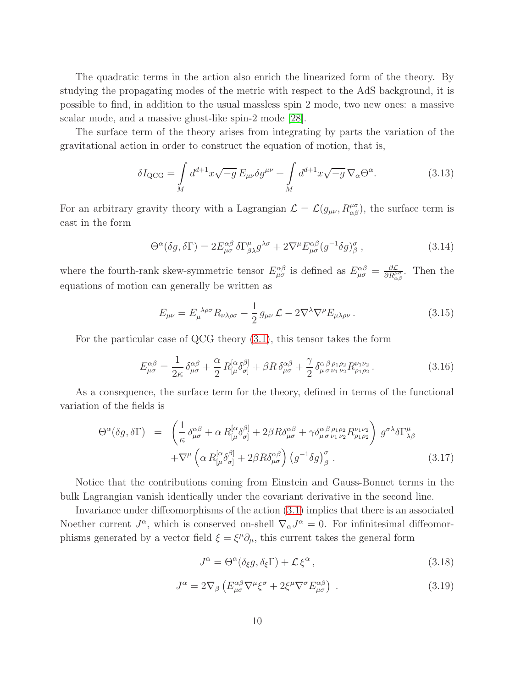The quadratic terms in the action also enrich the linearized form of the theory. By studying the propagating modes of the metric with respect to the AdS background, it is possible to find, in addition to the usual massless spin 2 mode, two new ones: a massive scalar mode, and a massive ghost-like spin-2 mode [\[28\]](#page-24-0).

The surface term of the theory arises from integrating by parts the variation of the gravitational action in order to construct the equation of motion, that is,

$$
\delta I_{\rm QCG} = \int\limits_M d^{d+1}x \sqrt{-g} E_{\mu\nu} \delta g^{\mu\nu} + \int\limits_M d^{d+1}x \sqrt{-g} \, \nabla_\alpha \Theta^\alpha. \tag{3.13}
$$

For an arbitrary gravity theory with a Lagrangian  $\mathcal{L} = \mathcal{L}(g_{\mu\nu}, R^{\mu\sigma}_{\alpha\beta})$ , the surface term is cast in the form

$$
\Theta^{\alpha}(\delta g, \delta \Gamma) = 2E^{\alpha\beta}_{\mu\sigma} \delta \Gamma^{\mu}_{\beta\lambda} g^{\lambda\sigma} + 2\nabla^{\mu} E^{\alpha\beta}_{\mu\sigma} (g^{-1} \delta g)^{\sigma}_{\beta} , \qquad (3.14)
$$

where the fourth-rank skew-symmetric tensor  $E^{\alpha\beta}_{\mu\sigma}$  is defined as  $E^{\alpha\beta}_{\mu\sigma} = \frac{\partial \mathcal{L}}{\partial R^{\mu}_{\mu}}$  $\frac{\partial \mathcal{L}}{\partial R^{\mu\sigma}_{\alpha\beta}}$ . Then the equations of motion can generally be written as

$$
E_{\mu\nu} = E_{\mu}^{\ \lambda\rho\sigma} R_{\nu\lambda\rho\sigma} - \frac{1}{2} g_{\mu\nu} \mathcal{L} - 2\nabla^{\lambda}\nabla^{\rho} E_{\mu\lambda\rho\nu} \,. \tag{3.15}
$$

For the particular case of QCG theory [\(3.1\)](#page-6-1), this tensor takes the form

$$
E^{\alpha\beta}_{\mu\sigma} = \frac{1}{2\kappa} \delta^{\alpha\beta}_{\mu\sigma} + \frac{\alpha}{2} R^{[\alpha}_{[\mu} \delta^{\beta]}_{\sigma]} + \beta R \delta^{\alpha\beta}_{\mu\sigma} + \frac{\gamma}{2} \delta^{\alpha\beta}_{\mu \sigma \nu_1 \nu_2} R^{\nu_1 \nu_2}_{\rho_1 \rho_2}.
$$
 (3.16)

As a consequence, the surface term for the theory, defined in terms of the functional variation of the fields is

$$
\Theta^{\alpha}(\delta g, \delta \Gamma) = \left( \frac{1}{\kappa} \delta^{\alpha \beta}_{\mu \sigma} + \alpha R^{[\alpha}_{[\mu} \delta^{\beta]}_{\sigma]} + 2\beta R \delta^{\alpha \beta}_{\mu \sigma} + \gamma \delta^{\alpha \beta \rho_1 \rho_2}_{\mu \sigma \nu_1 \nu_2} R^{\nu_1 \nu_2}_{\rho_1 \rho_2} \right) g^{\sigma \lambda} \delta \Gamma^{\mu}_{\lambda \beta} \n+ \nabla^{\mu} \left( \alpha R^{[\alpha}_{[\mu} \delta^{\beta]}_{\sigma]} + 2\beta R \delta^{\alpha \beta}_{\mu \sigma} \right) \left( g^{-1} \delta g \right)^{\sigma}_{\beta} .
$$
\n(3.17)

Notice that the contributions coming from Einstein and Gauss-Bonnet terms in the bulk Lagrangian vanish identically under the covariant derivative in the second line.

Invariance under diffeomorphisms of the action [\(3.1\)](#page-6-1) implies that there is an associated Noether current  $J^{\alpha}$ , which is conserved on-shell  $\nabla_{\alpha} J^{\alpha} = 0$ . For infinitesimal diffeomorphisms generated by a vector field  $\xi = \xi^{\mu} \partial_{\mu}$ , this current takes the general form

$$
J^{\alpha} = \Theta^{\alpha}(\delta_{\xi}g, \delta_{\xi}\Gamma) + \mathcal{L}\xi^{\alpha}, \qquad (3.18)
$$

$$
J^{\alpha} = 2\nabla_{\beta} \left( E^{\alpha\beta}_{\mu\sigma} \nabla^{\mu} \xi^{\sigma} + 2\xi^{\mu} \nabla^{\sigma} E^{\alpha\beta}_{\mu\sigma} \right) . \tag{3.19}
$$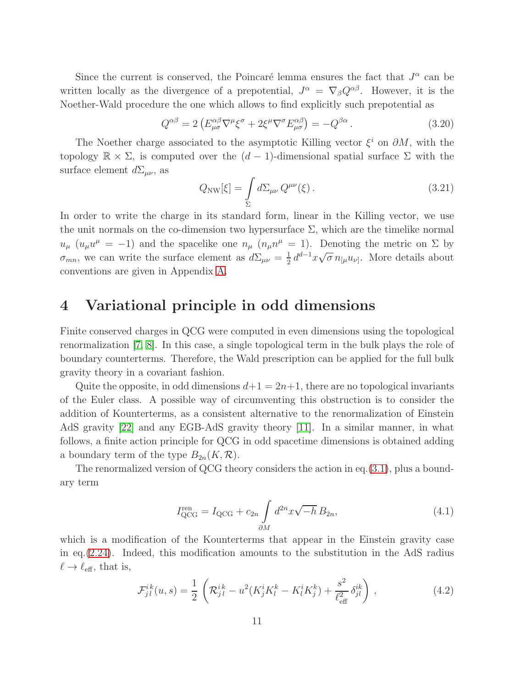Since the current is conserved, the Poincaré lemma ensures the fact that  $J^{\alpha}$  can be written locally as the divergence of a prepotential,  $J^{\alpha} = \nabla_{\beta} Q^{\alpha\beta}$ . However, it is the Noether-Wald procedure the one which allows to find explicitly such prepotential as

$$
Q^{\alpha\beta} = 2 \left( E^{\alpha\beta}_{\mu\sigma} \nabla^{\mu} \xi^{\sigma} + 2 \xi^{\mu} \nabla^{\sigma} E^{\alpha\beta}_{\mu\sigma} \right) = -Q^{\beta\alpha} . \tag{3.20}
$$

The Noether charge associated to the asymptotic Killing vector  $\xi^i$  on  $\partial M$ , with the topology  $\mathbb{R} \times \Sigma$ , is computed over the  $(d-1)$ -dimensional spatial surface  $\Sigma$  with the surface element  $d\Sigma_{\mu\nu}$ , as

$$
Q_{\rm NW}[\xi] = \int\limits_{\Sigma} d\Sigma_{\mu\nu} Q^{\mu\nu}(\xi). \tag{3.21}
$$

In order to write the charge in its standard form, linear in the Killing vector, we use the unit normals on the co-dimension two hypersurface  $\Sigma$ , which are the timelike normal  $u_{\mu}$  ( $u_{\mu}u^{\mu} = -1$ ) and the spacelike one  $n_{\mu}$  ( $n_{\mu}n^{\mu} = 1$ ). Denoting the metric on  $\Sigma$  by  $\sigma_{mn}$ , we can write the surface element as  $d\Sigma_{\mu\nu} = \frac{1}{2}$  $\frac{1}{2} d^{d-1}x \sqrt{\sigma} n_{[\mu}u_{\nu]}$ . More details about conventions are given in Appendix [A.](#page-18-0)

#### 4 Variational principle in odd dimensions

Finite conserved charges in QCG were computed in even dimensions using the topological renormalization [\[7,](#page-22-6) [8\]](#page-22-7). In this case, a single topological term in the bulk plays the role of boundary counterterms. Therefore, the Wald prescription can be applied for the full bulk gravity theory in a covariant fashion.

Quite the opposite, in odd dimensions  $d+1 = 2n+1$ , there are no topological invariants of the Euler class. A possible way of circumventing this obstruction is to consider the addition of Kounterterms, as a consistent alternative to the renormalization of Einstein AdS gravity [\[22\]](#page-23-8) and any EGB-AdS gravity theory [\[11\]](#page-22-10). In a similar manner, in what follows, a finite action principle for QCG in odd spacetime dimensions is obtained adding a boundary term of the type  $B_{2n}(K,\mathcal{R})$ .

The renormalized version of QCG theory considers the action in eq.[\(3.1\)](#page-6-1), plus a boundary term

<span id="page-10-0"></span>
$$
I_{\rm QCG}^{\rm ren} = I_{\rm QCG} + c_{2n} \int \limits_{\partial M} d^{2n} x \sqrt{-h} B_{2n}, \tag{4.1}
$$

which is a modification of the Kounterterms that appear in the Einstein gravity case in eq.[\(2.24\)](#page-5-1). Indeed, this modification amounts to the substitution in the AdS radius  $\ell \to \ell_{\text{eff}}$ , that is,

$$
\mathcal{F}_{jl}^{ik}(u,s) = \frac{1}{2} \left( \mathcal{R}_{jl}^{ik} - u^2 (K_j^i K_l^k - K_l^i K_j^k) + \frac{s^2}{\ell_{\text{eff}}^2} \delta_{jl}^{ik} \right), \qquad (4.2)
$$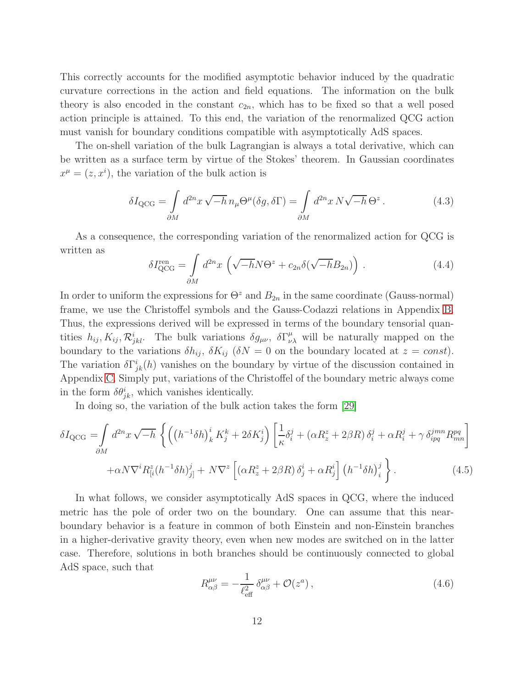This correctly accounts for the modified asymptotic behavior induced by the quadratic curvature corrections in the action and field equations. The information on the bulk theory is also encoded in the constant  $c_{2n}$ , which has to be fixed so that a well posed action principle is attained. To this end, the variation of the renormalized QCG action must vanish for boundary conditions compatible with asymptotically AdS spaces.

The on-shell variation of the bulk Lagrangian is always a total derivative, which can be written as a surface term by virtue of the Stokes' theorem. In Gaussian coordinates  $x^{\mu} = (z, x^{i})$ , the variation of the bulk action is

$$
\delta I_{\rm QCG} = \int_{\partial M} d^{2n} x \sqrt{-h} \, n_{\mu} \Theta^{\mu}(\delta g, \delta \Gamma) = \int_{\partial M} d^{2n} x \, N \sqrt{-h} \, \Theta^z \,. \tag{4.3}
$$

As a consequence, the corresponding variation of the renormalized action for QCG is written as

<span id="page-11-2"></span>
$$
\delta I_{\rm QCG}^{\rm ren} = \int_{\partial M} d^{2n} x \left( \sqrt{-h} N \Theta^z + c_{2n} \delta(\sqrt{-h} B_{2n}) \right) . \tag{4.4}
$$

In order to uniform the expressions for  $\Theta^z$  and  $B_{2n}$  in the same coordinate (Gauss-normal) frame, we use the Christoffel symbols and the Gauss-Codazzi relations in Appendix [B.](#page-20-0) Thus, the expressions derived will be expressed in terms of the boundary tensorial quantities  $h_{ij}$ ,  $K_{ij}$ ,  $\mathcal{R}_{jkl}^{i}$ . The bulk variations  $\delta g_{\mu\nu}$ ,  $\delta \Gamma^{\mu}_{\nu\lambda}$  will be naturally mapped on the boundary to the variations  $\delta h_{ij}$ ,  $\delta K_{ij}$  ( $\delta N = 0$  on the boundary located at  $z = const$ ). The variation  $\delta\Gamma^i_{jk}(h)$  vanishes on the boundary by virtue of the discussion contained in Appendix [C.](#page-20-1) Simply put, variations of the Christoffel of the boundary metric always come in the form  $\delta \theta_{jk}^i$ , which vanishes identically.

In doing so, the variation of the bulk action takes the form [\[29\]](#page-24-1)

<span id="page-11-0"></span>
$$
\delta I_{\rm QCG} = \int_{\partial M} d^{2n}x \sqrt{-h} \left\{ \left( \left( h^{-1} \delta h \right)_k^i K_j^k + 2 \delta K_j^i \right) \left[ \frac{1}{\kappa} \delta_i^j + \left( \alpha R_z^z + 2 \beta R \right) \delta_i^j + \alpha R_i^j + \gamma \delta_{ipq}^{jmn} R_{mn}^{pq} \right] \right. \\ \left. + \alpha N \nabla^i R_{[i}^z (h^{-1} \delta h)_{j]}^j + N \nabla^z \left[ \left( \alpha R_z^z + 2 \beta R \right) \delta_j^i + \alpha R_j^i \right] \left( h^{-1} \delta h \right)_i^j \right\} . \tag{4.5}
$$

In what follows, we consider asymptotically AdS spaces in QCG, where the induced metric has the pole of order two on the boundary. One can assume that this nearboundary behavior is a feature in common of both Einstein and non-Einstein branches in a higher-derivative gravity theory, even when new modes are switched on in the latter case. Therefore, solutions in both branches should be continuously connected to global AdS space, such that

<span id="page-11-1"></span>
$$
R^{\mu\nu}_{\alpha\beta} = -\frac{1}{\ell_{\text{eff}}^2} \delta^{\mu\nu}_{\alpha\beta} + \mathcal{O}(z^a) \,, \tag{4.6}
$$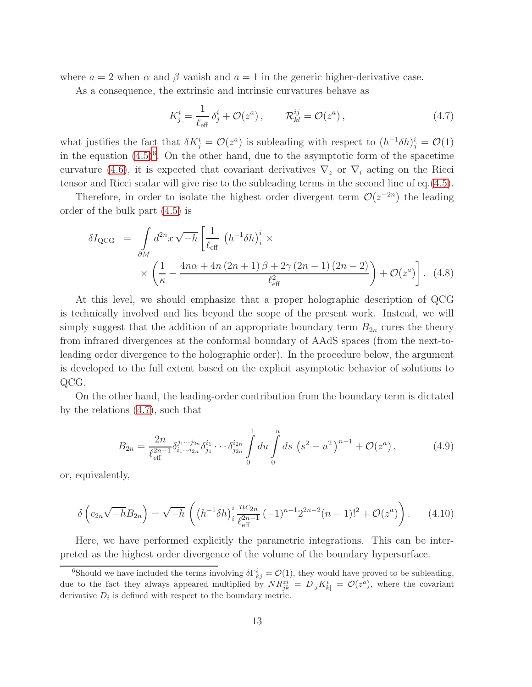where  $a = 2$  when  $\alpha$  and  $\beta$  vanish and  $a = 1$  in the generic higher-derivative case.

As a consequence, the extrinsic and intrinsic curvatures behave as

<span id="page-12-1"></span>
$$
K_j^i = \frac{1}{\ell_{\text{eff}}} \delta_j^i + \mathcal{O}(z^a) , \qquad \mathcal{R}_{kl}^{ij} = \mathcal{O}(z^a) , \qquad (4.7)
$$

what justifies the fact that  $\delta K_j^i = \mathcal{O}(z^a)$  is subleading with respect to  $(h^{-1}\delta h)_j^i = \mathcal{O}(1)$ in the equation  $(4.5)^6$  $(4.5)^6$ . On the other hand, due to the asymptotic form of the spacetime curvature [\(4.6\)](#page-11-1), it is expected that covariant derivatives  $\nabla_z$  or  $\nabla_i$  acting on the Ricci tensor and Ricci scalar will give rise to the subleading terms in the second line of eq.[\(4.5\)](#page-11-0).

Therefore, in order to isolate the highest order divergent term  $\mathcal{O}(z^{-2n})$  the leading order of the bulk part [\(4.5\)](#page-11-0) is

$$
\delta I_{\rm QCG} = \int_{\partial M} d^{2n}x \sqrt{-h} \left[ \frac{1}{\ell_{\rm eff}} \left( h^{-1} \delta h \right)_i^i \times \right. \times \left( \frac{1}{\kappa} - \frac{4n\alpha + 4n(2n+1)\beta + 2\gamma(2n-1)(2n-2)}{\ell_{\rm eff}^2} \right) + \mathcal{O}(z^a) \right]. \tag{4.8}
$$

At this level, we should emphasize that a proper holographic description of QCG is technically involved and lies beyond the scope of the present work. Instead, we will simply suggest that the addition of an appropriate boundary term  $B_{2n}$  cures the theory from infrared divergences at the conformal boundary of AAdS spaces (from the next-toleading order divergence to the holographic order). In the procedure below, the argument is developed to the full extent based on the explicit asymptotic behavior of solutions to QCG.

On the other hand, the leading-order contribution from the boundary term is dictated by the relations [\(4.7\)](#page-12-1), such that

$$
B_{2n} = \frac{2n}{\ell_{\text{eff}}^{2n-1}} \delta_{i_1 \cdots i_{2n}}^{j_1 \cdots j_{2n}} \delta_{j_1}^{i_1} \cdots \delta_{j_{2n}}^{i_{2n}} \int_0^1 du \int_0^u ds \, (s^2 - u^2)^{n-1} + \mathcal{O}(z^a) \,,\tag{4.9}
$$

or, equivalently,

$$
\delta\left(c_{2n}\sqrt{-h}B_{2n}\right) = \sqrt{-h}\left(\left(h^{-1}\delta h\right)^i_i \frac{n c_{2n}}{\ell_{\text{eff}}^{2n-1}} (-1)^{n-1} 2^{2n-2} (n-1)!^2 + \mathcal{O}(z^a)\right). \tag{4.10}
$$

Here, we have performed explicitly the parametric integrations. This can be interpreted as the highest order divergence of the volume of the boundary hypersurface.

<span id="page-12-0"></span><sup>&</sup>lt;sup>6</sup>Should we have included the terms involving  $\delta\Gamma^i_{kj} = \mathcal{O}(1)$ , they would have proved to be subleading, due to the fact they always appeared multiplied by  $NR_{jk}^{zi} = D_{[j}K_{k]}^{i} = \mathcal{O}(z^{a})$ , where the covariant derivative  $D_i$  is defined with respect to the boundary metric.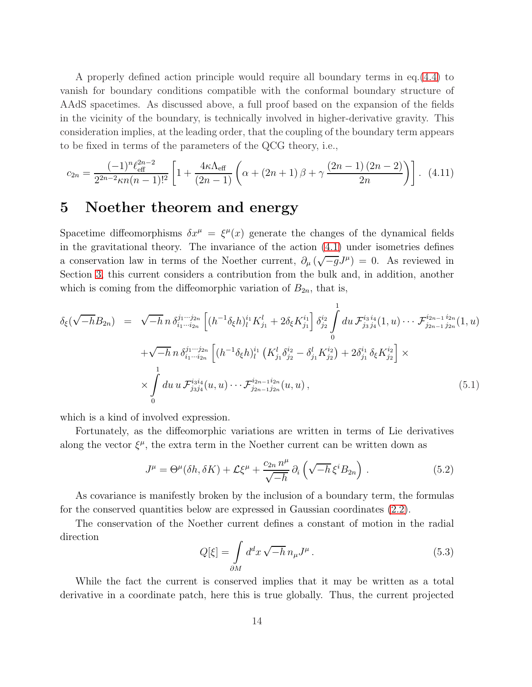A properly defined action principle would require all boundary terms in eq.[\(4.4\)](#page-11-2) to vanish for boundary conditions compatible with the conformal boundary structure of AAdS spacetimes. As discussed above, a full proof based on the expansion of the fields in the vicinity of the boundary, is technically involved in higher-derivative gravity. This consideration implies, at the leading order, that the coupling of the boundary term appears to be fixed in terms of the parameters of the QCG theory, i.e.,

<span id="page-13-0"></span>
$$
c_{2n} = \frac{(-1)^n \ell_{\text{eff}}^{2n-2}}{2^{2n-2} \kappa n(n-1)!^2} \left[ 1 + \frac{4\kappa \Lambda_{\text{eff}}}{(2n-1)} \left( \alpha + (2n+1)\beta + \gamma \frac{(2n-1)(2n-2)}{2n} \right) \right]. \tag{4.11}
$$

#### 5 Noether theorem and energy

Spacetime diffeomorphisms  $\delta x^{\mu} = \xi^{\mu}(x)$  generate the changes of the dynamical fields in the gravitational theory. The invariance of the action [\(4.1\)](#page-10-0) under isometries defines a conservation law in terms of the Noether current,  $\partial_{\mu}(\sqrt{-g}J^{\mu})=0$ . As reviewed in Section [3,](#page-6-3) this current considers a contribution from the bulk and, in addition, another which is coming from the diffeomorphic variation of  $B_{2n}$ , that is,

<span id="page-13-1"></span>
$$
\delta_{\xi}(\sqrt{-h}B_{2n}) = \sqrt{-h} \, n \, \delta_{i_1 \cdots i_{2n}}^{j_1 \cdots j_{2n}} \left[ (h^{-1} \delta_{\xi} h)^{i_1}_{l} K^l_{j_1} + 2 \delta_{\xi} K^{i_1}_{j_1} \right] \delta_{j_2}^{i_2} \int_0^1 du \, \mathcal{F}_{j_3 j_4}^{i_3 i_4}(1, u) \cdots \mathcal{F}_{j_{2n-1} j_{2n}}^{i_{2n-1} i_{2n}}(1, u) \n+ \sqrt{-h} \, n \, \delta_{i_1 \cdots i_{2n}}^{j_1 \cdots j_{2n}} \left[ (h^{-1} \delta_{\xi} h)^{i_1}_{l} \left( K^l_{j_1} \delta_{j_2}^{i_2} - \delta^l_{j_1} K^{i_2}_{j_2} \right) + 2 \delta_{j_1}^{i_1} \delta_{\xi} K^{i_2}_{j_2} \right] \times \n\times \int_0^1 du \, u \, \mathcal{F}_{j_3 j_4}^{i_3 i_4}(u, u) \cdots \mathcal{F}_{j_{2n-1} j_{2n}}^{i_{2n-1} i_{2n}}(u, u) , \tag{5.1}
$$

which is a kind of involved expression.

Fortunately, as the diffeomorphic variations are written in terms of Lie derivatives along the vector  $\xi^{\mu}$ , the extra term in the Noether current can be written down as

$$
J^{\mu} = \Theta^{\mu}(\delta h, \delta K) + \mathcal{L}\xi^{\mu} + \frac{c_{2n} n^{\mu}}{\sqrt{-h}} \partial_i \left( \sqrt{-h} \xi^i B_{2n} \right).
$$
 (5.2)

As covariance is manifestly broken by the inclusion of a boundary term, the formulas for the conserved quantities below are expressed in Gaussian coordinates [\(2.2\)](#page-2-0).

The conservation of the Noether current defines a constant of motion in the radial direction

$$
Q[\xi] = \int_{\partial M} d^d x \sqrt{-h} \, n_\mu J^\mu \,. \tag{5.3}
$$

While the fact the current is conserved implies that it may be written as a total derivative in a coordinate patch, here this is true globally. Thus, the current projected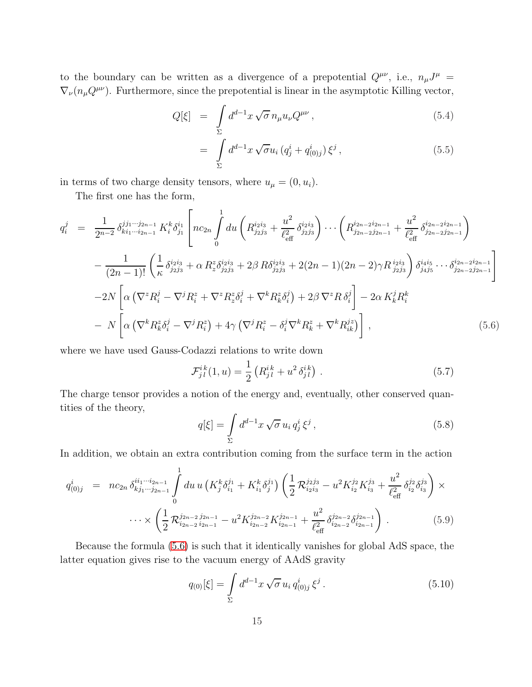to the boundary can be written as a divergence of a prepotential  $Q^{\mu\nu}$ , i.e.,  $n_{\mu}J^{\mu}$  =  $\nabla_{\nu}(n_{\mu}Q^{\mu\nu})$ . Furthermore, since the prepotential is linear in the asymptotic Killing vector,

$$
Q[\xi] = \int\limits_{\Sigma} d^{d-1}x \sqrt{\sigma} n_{\mu} u_{\nu} Q^{\mu\nu}, \qquad (5.4)
$$

$$
= \int_{\Sigma} d^{d-1}x \sqrt{\sigma} u_i (q_j^i + q_{(0)j}^i) \xi^j , \qquad (5.5)
$$

in terms of two charge density tensors, where  $u_{\mu} = (0, u_i)$ .

The first one has the form,

<span id="page-14-0"></span>
$$
q_{i}^{j} = \frac{1}{2^{n-2}} \delta_{ki_{1}\cdots i_{2n-1}}^{jj_{1}\cdots j_{2n-1}} K_{i}^{k} \delta_{j_{1}}^{i_{1}} \left[ nc_{2n} \int_{0}^{1} du \left( R_{j_{2}j_{3}}^{i_{2}i_{3}} + \frac{u^{2}}{\ell_{\text{eff}}^{2}} \delta_{j_{2}j_{3}}^{i_{2}i_{3}} \right) \cdots \left( R_{j_{2n-2}j_{2n-1}}^{i_{2n-2}i_{2n-1}} + \frac{u^{2}}{\ell_{\text{eff}}^{2}} \delta_{j_{2n-2}j_{2n-1}}^{i_{2n-2}i_{2n-1}} \right) \right]
$$
  
\n
$$
- \frac{1}{(2n-1)!} \left( \frac{1}{\kappa} \delta_{j_{2}j_{3}}^{i_{2}i_{3}} + \alpha R_{z}^{z} \delta_{j_{2}j_{3}}^{i_{2}i_{3}} + 2\beta R \delta_{j_{2}j_{3}}^{i_{2}i_{3}} + 2(2n-1)(2n-2)\gamma R_{j_{2}j_{3}}^{i_{2}i_{3}} \right) \delta_{j_{4}j_{5}}^{i_{4}i_{5}} \cdots \delta_{j_{2n-2}j_{2n-1}}^{i_{2n-2}i_{2n-1}} \right]
$$
  
\n
$$
- 2N \left[ \alpha \left( \nabla^{z} R_{i}^{j} - \nabla^{j} R_{i}^{z} + \nabla^{z} R_{z}^{z} \delta_{i}^{j} + \nabla^{k} R_{k}^{z} \delta_{i}^{j} \right) + 2\beta \nabla^{z} R \delta_{i}^{j} \right] - 2\alpha K_{k}^{j} R_{i}^{k}
$$
  
\n
$$
- N \left[ \alpha \left( \nabla^{k} R_{k}^{z} \delta_{i}^{j} - \nabla^{j} R_{i}^{z} \right) + 4\gamma \left( \nabla^{j} R_{i}^{z} - \delta_{i}^{j} \nabla^{k} R_{k}^{z} + \nabla^{k} R_{ik}^{j_{z}} \right) \right], \qquad (5.6)
$$

where we have used Gauss-Codazzi relations to write down

$$
\mathcal{F}_{j\,l}^{ik}(1,u) = \frac{1}{2} \left( R_{j\,l}^{ik} + u^2 \, \delta_{j\,l}^{ik} \right) \,. \tag{5.7}
$$

The charge tensor provides a notion of the energy and, eventually, other conserved quantities of the theory,

<span id="page-14-1"></span>
$$
q[\xi] = \int\limits_{\Sigma} d^{d-1}x \sqrt{\sigma} u_i q_j^i \xi^j , \qquad (5.8)
$$

In addition, we obtain an extra contribution coming from the surface term in the action

$$
q_{(0)j}^{i} = nc_{2n} \delta_{kj_1\cdots j_{2n-1}}^{ii_1\cdots i_{2n-1}} \int_{0}^{1} du \, u \left(K_j^k \delta_{i_1}^{j_1} + K_{i_1}^k \delta_j^{j_1}\right) \left(\frac{1}{2} \mathcal{R}_{i_2 i_3}^{j_2 j_3} - u^2 K_{i_2}^{j_2} K_{i_3}^{j_3} + \frac{u^2}{\ell_{\text{eff}}^2} \delta_{i_2}^{j_2} \delta_{i_3}^{j_3}\right) \times \cdots \times \left(\frac{1}{2} \mathcal{R}_{i_{2n-2}}^{j_{2n-2} j_{2n-1}} - u^2 K_{i_{2n-2}}^{j_{2n-2}} K_{i_{2n-1}}^{j_{2n-1}} + \frac{u^2}{\ell_{\text{eff}}^2} \delta_{i_{2n-2}}^{j_{2n-2}} \delta_{i_{2n-1}}^{j_{2n-1}}\right). \tag{5.9}
$$

Because the formula [\(5.6\)](#page-14-0) is such that it identically vanishes for global AdS space, the latter equation gives rise to the vacuum energy of AAdS gravity

<span id="page-14-2"></span>
$$
q_{(0)}[\xi] = \int\limits_{\Sigma} d^{d-1}x \sqrt{\sigma} u_i q_{(0)j}^i \xi^j.
$$
 (5.10)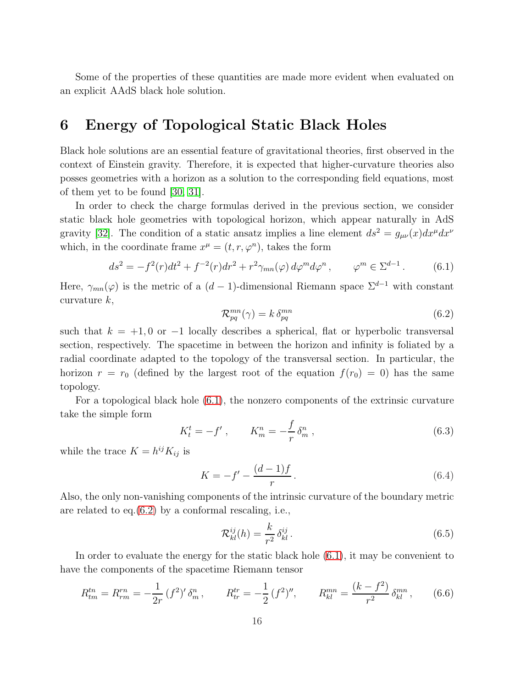Some of the properties of these quantities are made more evident when evaluated on an explicit AAdS black hole solution.

#### 6 Energy of Topological Static Black Holes

Black hole solutions are an essential feature of gravitational theories, first observed in the context of Einstein gravity. Therefore, it is expected that higher-curvature theories also posses geometries with a horizon as a solution to the corresponding field equations, most of them yet to be found [\[30,](#page-24-2) [31\]](#page-24-3).

In order to check the charge formulas derived in the previous section, we consider static black hole geometries with topological horizon, which appear naturally in AdS gravity [\[32\]](#page-24-4). The condition of a static ansatz implies a line element  $ds^2 = g_{\mu\nu}(x)dx^{\mu}dx^{\nu}$ which, in the coordinate frame  $x^{\mu} = (t, r, \varphi^{n})$ , takes the form

<span id="page-15-0"></span>
$$
ds^{2} = -f^{2}(r)dt^{2} + f^{-2}(r)dr^{2} + r^{2}\gamma_{mn}(\varphi) d\varphi^{m} d\varphi^{n}, \qquad \varphi^{m} \in \Sigma^{d-1}.
$$
 (6.1)

Here,  $\gamma_{mn}(\varphi)$  is the metric of a  $(d-1)$ -dimensional Riemann space  $\Sigma^{d-1}$  with constant curvature  $k$ ,

<span id="page-15-1"></span>
$$
\mathcal{R}_{pq}^{mn}(\gamma) = k \, \delta_{pq}^{mn} \tag{6.2}
$$

such that  $k = +1, 0$  or  $-1$  locally describes a spherical, flat or hyperbolic transversal section, respectively. The spacetime in between the horizon and infinity is foliated by a radial coordinate adapted to the topology of the transversal section. In particular, the horizon  $r = r_0$  (defined by the largest root of the equation  $f(r_0) = 0$ ) has the same topology.

For a topological black hole [\(6.1\)](#page-15-0), the nonzero components of the extrinsic curvature take the simple form

$$
K_t^t = -f', \qquad K_m^n = -\frac{f}{r} \,\delta_m^n \,, \tag{6.3}
$$

while the trace  $K = h^{ij} K_{ij}$  is

$$
K = -f' - \frac{(d-1)f}{r}.
$$
\n(6.4)

Also, the only non-vanishing components of the intrinsic curvature of the boundary metric are related to eq.[\(6.2\)](#page-15-1) by a conformal rescaling, i.e.,

$$
\mathcal{R}_{kl}^{ij}(h) = \frac{k}{r^2} \delta_{kl}^{ij}.
$$
\n(6.5)

In order to evaluate the energy for the static black hole [\(6.1\)](#page-15-0), it may be convenient to have the components of the spacetime Riemann tensor

$$
R_{tm}^{tn} = R_{rm}^{rn} = -\frac{1}{2r} (f^2)' \delta_m^n, \qquad R_{tr}^{tr} = -\frac{1}{2} (f^2)'', \qquad R_{kl}^{mn} = \frac{(k - f^2)}{r^2} \delta_{kl}^{mn}, \qquad (6.6)
$$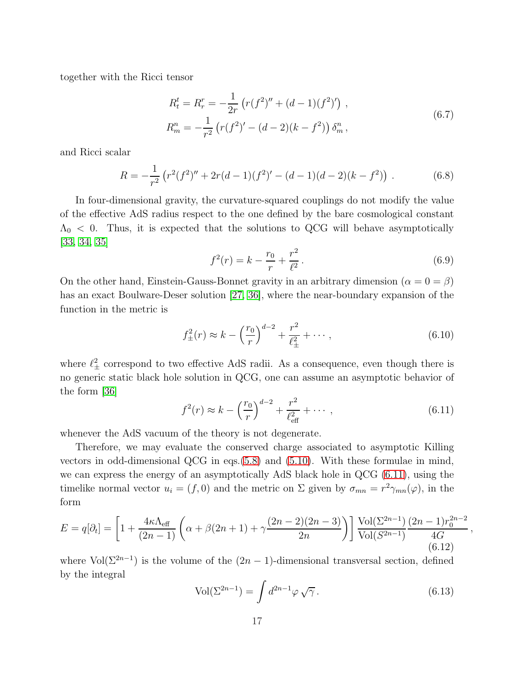together with the Ricci tensor

$$
R_t^t = R_r^r = -\frac{1}{2r} \left( r(f^2)'' + (d-1)(f^2)' \right) ,
$$
  
\n
$$
R_m^n = -\frac{1}{r^2} \left( r(f^2)' - (d-2)(k-f^2) \right) \delta_m^n ,
$$
\n(6.7)

and Ricci scalar

$$
R = -\frac{1}{r^2} \left( r^2 (f^2)'' + 2r(d-1)(f^2)' - (d-1)(d-2)(k-f^2) \right) \,. \tag{6.8}
$$

In four-dimensional gravity, the curvature-squared couplings do not modify the value of the effective AdS radius respect to the one defined by the bare cosmological constant  $\Lambda_0$  < 0. Thus, it is expected that the solutions to QCG will behave asymptotically [\[33,](#page-24-5) [34,](#page-24-6) [35\]](#page-24-7)

$$
f^{2}(r) = k - \frac{r_0}{r} + \frac{r^{2}}{\ell^{2}}.
$$
\n(6.9)

On the other hand, Einstein-Gauss-Bonnet gravity in an arbitrary dimension ( $\alpha = 0 = \beta$ ) has an exact Boulware-Deser solution [\[27,](#page-23-13) [36\]](#page-24-8), where the near-boundary expansion of the function in the metric is

$$
f_{\pm}^{2}(r) \approx k - \left(\frac{r_{0}}{r}\right)^{d-2} + \frac{r^{2}}{\ell_{\pm}^{2}} + \cdots, \qquad (6.10)
$$

where  $\ell_{\pm}^2$  correspond to two effective AdS radii. As a consequence, even though there is no generic static black hole solution in QCG, one can assume an asymptotic behavior of the form [\[36\]](#page-24-8)

<span id="page-16-0"></span>
$$
f^{2}(r) \approx k - \left(\frac{r_{0}}{r}\right)^{d-2} + \frac{r^{2}}{\ell_{\text{eff}}^{2}} + \cdots , \qquad (6.11)
$$

whenever the AdS vacuum of the theory is not degenerate.

Therefore, we may evaluate the conserved charge associated to asymptotic Killing vectors in odd-dimensional QCG in eqs.[\(5.8\)](#page-14-1) and [\(5.10\)](#page-14-2). With these formulae in mind, we can express the energy of an asymptotically AdS black hole in QCG [\(6.11\)](#page-16-0), using the timelike normal vector  $u_i = (f, 0)$  and the metric on  $\Sigma$  given by  $\sigma_{mn} = r^2 \gamma_{mn}(\varphi)$ , in the form

<span id="page-16-1"></span>
$$
E = q[\partial_t] = \left[1 + \frac{4\kappa\Lambda_{\text{eff}}}{(2n-1)}\left(\alpha + \beta(2n+1) + \gamma\frac{(2n-2)(2n-3)}{2n}\right)\right] \frac{\text{Vol}(\Sigma^{2n-1})}{\text{Vol}(S^{2n-1})} \frac{(2n-1)r_0^{2n-2}}{4G},\tag{6.12}
$$

where  $\text{Vol}(\Sigma^{2n-1})$  is the volume of the  $(2n-1)$ -dimensional transversal section, defined by the integral

$$
\text{Vol}(\Sigma^{2n-1}) = \int d^{2n-1}\varphi \sqrt{\gamma} \,. \tag{6.13}
$$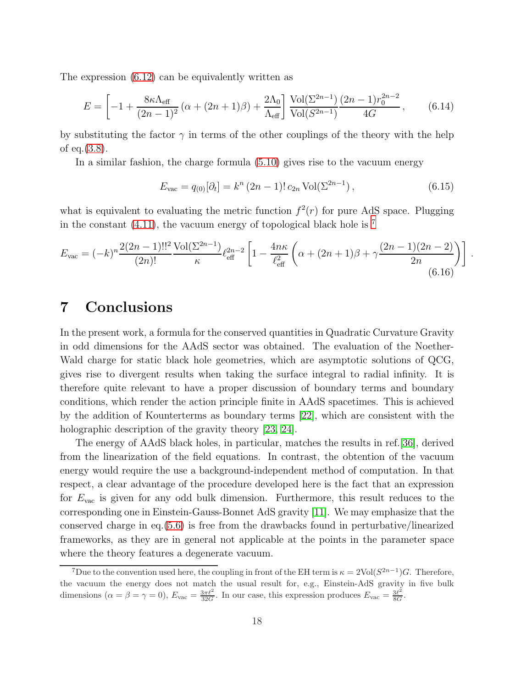The expression [\(6.12\)](#page-16-1) can be equivalently written as

$$
E = \left[ -1 + \frac{8\kappa\Lambda_{\text{eff}}}{(2n-1)^2} \left( \alpha + (2n+1)\beta \right) + \frac{2\Lambda_0}{\Lambda_{\text{eff}}} \right] \frac{\text{Vol}(\Sigma^{2n-1})}{\text{Vol}(S^{2n-1})} \frac{(2n-1)r_0^{2n-2}}{4G},\tag{6.14}
$$

by substituting the factor  $\gamma$  in terms of the other couplings of the theory with the help of eq.[\(3.8\)](#page-7-3).

In a similar fashion, the charge formula [\(5.10\)](#page-14-2) gives rise to the vacuum energy

$$
E_{\text{vac}} = q_{(0)}[\partial_t] = k^n (2n - 1)! c_{2n} \operatorname{Vol}(\Sigma^{2n - 1}), \qquad (6.15)
$$

what is equivalent to evaluating the metric function  $f^2(r)$  for pure AdS space. Plugging in the constant  $(4.11)$ , the vacuum energy of topological black hole is  $<sup>7</sup>$  $<sup>7</sup>$  $<sup>7</sup>$ </sup>

$$
E_{\rm vac} = (-k)^n \frac{2(2n-1)!!^2}{(2n)!} \frac{\text{Vol}(\Sigma^{2n-1})}{\kappa} \ell_{\rm eff}^{2n-2} \left[ 1 - \frac{4n\kappa}{\ell_{\rm eff}^2} \left( \alpha + (2n+1)\beta + \gamma \frac{(2n-1)(2n-2)}{2n} \right) \right] \,. \tag{6.16}
$$

### 7 Conclusions

In the present work, a formula for the conserved quantities in Quadratic Curvature Gravity in odd dimensions for the AAdS sector was obtained. The evaluation of the Noether-Wald charge for static black hole geometries, which are asymptotic solutions of QCG, gives rise to divergent results when taking the surface integral to radial infinity. It is therefore quite relevant to have a proper discussion of boundary terms and boundary conditions, which render the action principle finite in AAdS spacetimes. This is achieved by the addition of Kounterterms as boundary terms [\[22\]](#page-23-8), which are consistent with the holographic description of the gravity theory [\[23,](#page-23-9) [24\]](#page-23-10).

The energy of AAdS black holes, in particular, matches the results in ref.[\[36\]](#page-24-8), derived from the linearization of the field equations. In contrast, the obtention of the vacuum energy would require the use a background-independent method of computation. In that respect, a clear advantage of the procedure developed here is the fact that an expression for  $E_{\text{vac}}$  is given for any odd bulk dimension. Furthermore, this result reduces to the corresponding one in Einstein-Gauss-Bonnet AdS gravity [\[11\]](#page-22-10). We may emphasize that the conserved charge in eq.[\(5.6\)](#page-14-0) is free from the drawbacks found in perturbative/linearized frameworks, as they are in general not applicable at the points in the parameter space where the theory features a degenerate vacuum.

<span id="page-17-0"></span><sup>&</sup>lt;sup>7</sup>Due to the convention used here, the coupling in front of the EH term is  $\kappa = 2\text{Vol}(S^{2n-1})G$ . Therefore, the vacuum the energy does not match the usual result for, e.g., Einstein-AdS gravity in five bulk dimensions  $(\alpha = \beta = \gamma = 0)$ ,  $E_{\text{vac}} = \frac{3\pi l^2}{32G}$ . In our case, this expression produces  $E_{\text{vac}} = \frac{3l^2}{8G}$  $\frac{3\ell^2}{8G}$ .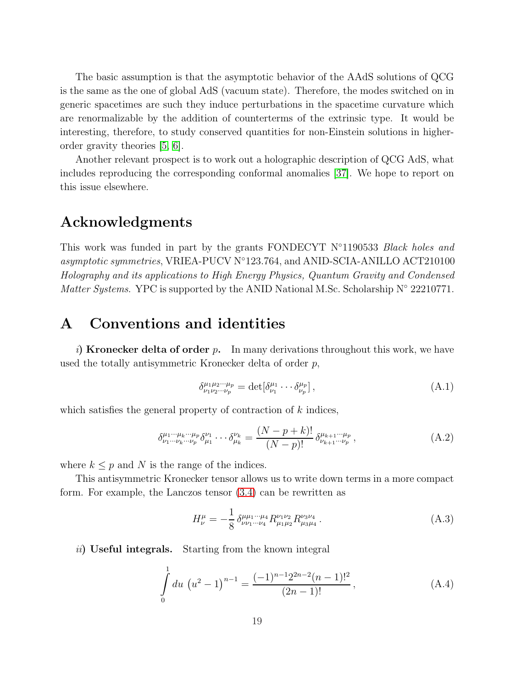The basic assumption is that the asymptotic behavior of the AAdS solutions of QCG is the same as the one of global AdS (vacuum state). Therefore, the modes switched on in generic spacetimes are such they induce perturbations in the spacetime curvature which are renormalizable by the addition of counterterms of the extrinsic type. It would be interesting, therefore, to study conserved quantities for non-Einstein solutions in higherorder gravity theories [\[5,](#page-22-4) [6\]](#page-22-5).

Another relevant prospect is to work out a holographic description of QCG AdS, what includes reproducing the corresponding conformal anomalies [\[37\]](#page-24-9). We hope to report on this issue elsewhere.

#### Acknowledgments

This work was funded in part by the grants FONDECYT  $N^{\circ}1190533$  Black holes and asymptotic symmetries, VRIEA-PUCV N◦123.764, and ANID-SCIA-ANILLO ACT210100 Holography and its applications to High Energy Physics, Quantum Gravity and Condensed *Matter Systems.* YPC is supported by the ANID National M.Sc. Scholarship  $N^{\circ}$  22210771.

#### <span id="page-18-0"></span>A Conventions and identities

i) Kronecker delta of order p. In many derivations throughout this work, we have used the totally antisymmetric Kronecker delta of order p,

$$
\delta^{\mu_1 \mu_2 \cdots \mu_p}_{\nu_1 \nu_2 \cdots \nu_p} = \det [\delta^{\mu_1}_{\nu_1} \cdots \delta^{\mu_p}_{\nu_p}], \qquad (A.1)
$$

which satisfies the general property of contraction of  $k$  indices,

$$
\delta^{\mu_1 \cdots \mu_k \cdots \mu_p}_{\nu_1 \cdots \nu_k \cdots \nu_p} \delta^{\nu_1}_{\mu_1} \cdots \delta^{\nu_k}_{\mu_k} = \frac{(N-p+k)!}{(N-p)!} \delta^{\mu_{k+1} \cdots \mu_p}_{\nu_{k+1} \cdots \nu_p} , \tag{A.2}
$$

where  $k \leq p$  and N is the range of the indices.

This antisymmetric Kronecker tensor allows us to write down terms in a more compact form. For example, the Lanczos tensor [\(3.4\)](#page-7-4) can be rewritten as

$$
H^{\mu}_{\nu} = -\frac{1}{8} \delta^{\mu \mu_1 \cdots \mu_4}_{\nu \nu_1 \cdots \nu_4} R^{\nu_1 \nu_2}_{\mu_1 \mu_2} R^{\nu_3 \nu_4}_{\mu_3 \mu_4} \,. \tag{A.3}
$$

ii) Useful integrals. Starting from the known integral

$$
\int_{0}^{1} du \, (u^{2} - 1)^{n-1} = \frac{(-1)^{n-1} 2^{2n-2} (n-1)!^{2}}{(2n-1)!}, \tag{A.4}
$$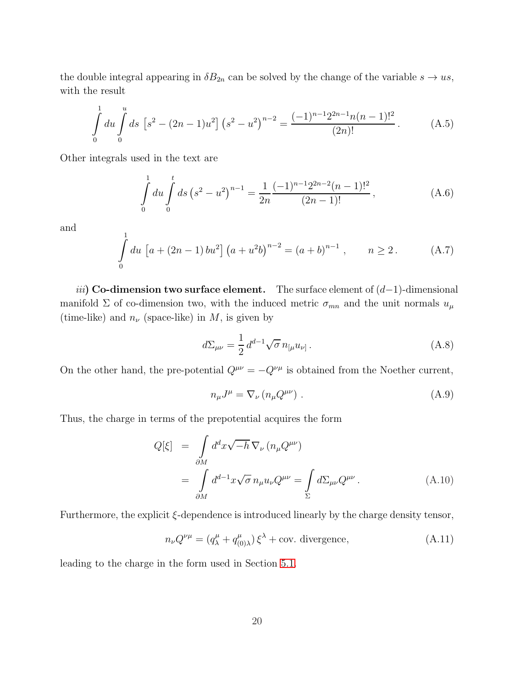the double integral appearing in  $\delta B_{2n}$  can be solved by the change of the variable  $s \to u s$ , with the result

$$
\int_{0}^{1} du \int_{0}^{u} ds \left[ s^{2} - (2n - 1)u^{2} \right] \left( s^{2} - u^{2} \right)^{n-2} = \frac{(-1)^{n-1} 2^{2n-1} n(n-1)!^{2}}{(2n)!}.
$$
 (A.5)

Other integrals used in the text are

$$
\int_{0}^{1} du \int_{0}^{t} ds \left(s^{2} - u^{2}\right)^{n-1} = \frac{1}{2n} \frac{(-1)^{n-1} 2^{2n-2} (n-1)!^{2}}{(2n-1)!},
$$
\n(A.6)

and

$$
\int_{0}^{1} du \, \left[ a + (2n - 1) \, bu^{2} \right] \left( a + u^{2}b \right)^{n-2} = \left( a + b \right)^{n-1}, \qquad n \ge 2. \tag{A.7}
$$

*iii*) Co-dimension two surface element. The surface element of  $(d-1)$ -dimensional manifold  $\Sigma$  of co-dimension two, with the induced metric  $\sigma_{mn}$  and the unit normals  $u_{\mu}$ (time-like) and  $n_{\nu}$  (space-like) in M, is given by

$$
d\Sigma_{\mu\nu} = \frac{1}{2} d^{d-1} \sqrt{\sigma} n_{[\mu} u_{\nu]} \,. \tag{A.8}
$$

On the other hand, the pre-potential  $Q^{\mu\nu} = -Q^{\nu\mu}$  is obtained from the Noether current,

$$
n_{\mu}J^{\mu} = \nabla_{\nu} (n_{\mu}Q^{\mu\nu}) \tag{A.9}
$$

Thus, the charge in terms of the prepotential acquires the form

$$
Q[\xi] = \int_{\partial M} d^d x \sqrt{-h} \, \nabla_{\nu} \left( n_{\mu} Q^{\mu \nu} \right)
$$
  

$$
= \int_{\partial M} d^{d-1} x \sqrt{\sigma} \, n_{\mu} u_{\nu} Q^{\mu \nu} = \int_{\Sigma} d\Sigma_{\mu \nu} Q^{\mu \nu} . \tag{A.10}
$$

Furthermore, the explicit ξ-dependence is introduced linearly by the charge density tensor,

$$
n_{\nu}Q^{\nu\mu} = (q_{\lambda}^{\mu} + q_{(0)\lambda}^{\mu})\xi^{\lambda} + \text{cov. divergence},
$$
 (A.11)

leading to the charge in the form used in Section [5.1.](#page-13-1)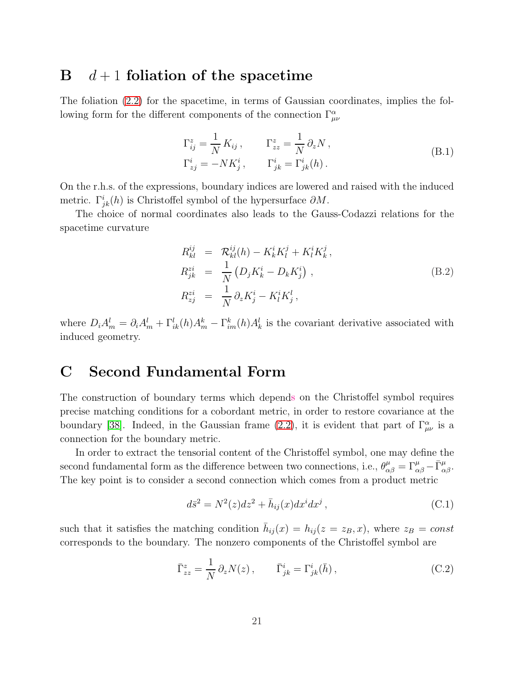#### <span id="page-20-0"></span> $\mathbf{B}$  d + 1 foliation of the spacetime

The foliation [\(2.2\)](#page-2-0) for the spacetime, in terms of Gaussian coordinates, implies the following form for the different components of the connection  $\Gamma^{\alpha}_{\mu\nu}$ 

$$
\Gamma_{ij}^{z} = \frac{1}{N} K_{ij}, \qquad \Gamma_{zz}^{z} = \frac{1}{N} \partial_z N,
$$
  
\n
$$
\Gamma_{zj}^{i} = -NK_j^{i}, \qquad \Gamma_{jk}^{i} = \Gamma_{jk}^{i}(h).
$$
\n(B.1)

On the r.h.s. of the expressions, boundary indices are lowered and raised with the induced metric.  $\Gamma^i_{jk}(h)$  is Christoffel symbol of the hypersurface  $\partial M$ .

The choice of normal coordinates also leads to the Gauss-Codazzi relations for the spacetime curvature

$$
R_{kl}^{ij} = \mathcal{R}_{kl}^{ij}(h) - K_k^i K_l^j + K_l^i K_k^j,
$$
  
\n
$$
R_{jk}^{zi} = \frac{1}{N} \left( D_j K_k^i - D_k K_j^i \right),
$$
  
\n
$$
R_{zj}^{zi} = \frac{1}{N} \partial_z K_j^i - K_l^i K_j^l,
$$
\n(B.2)

where  $D_i A_m^l = \partial_i A_m^l + \Gamma_{ik}^l(h) A_m^k - \Gamma_{im}^k(h) A_k^l$  is the covariant derivative associated with induced geometry.

### <span id="page-20-1"></span>C Second Fundamental Form

The construction of boundary terms which depends on the Christoffel symbol requires precise matching conditions for a cobordant metric, in order to restore covariance at the boundary [\[38\]](#page-24-10). Indeed, in the Gaussian frame [\(2.2\)](#page-2-0), it is evident that part of  $\Gamma^{\alpha}_{\mu\nu}$  is a connection for the boundary metric.

In order to extract the tensorial content of the Christoffel symbol, one may define the second fundamental form as the difference between two connections, i.e.,  $\theta^{\mu}_{\alpha\beta} = \Gamma^{\mu}_{\alpha\beta} - \bar{\Gamma}^{\mu}_{\alpha\beta}$ . The key point is to consider a second connection which comes from a product metric

$$
d\bar{s}^2 = N^2(z)dz^2 + \bar{h}_{ij}(x)dx^i dx^j,
$$
\n(C.1)

such that it satisfies the matching condition  $\bar{h}_{ij}(x) = h_{ij}(z = z_B, x)$ , where  $z_B = const$ corresponds to the boundary. The nonzero components of the Christoffel symbol are

$$
\bar{\Gamma}_{zz}^z = \frac{1}{N} \partial_z N(z) , \qquad \bar{\Gamma}_{jk}^i = \Gamma_{jk}^i(\bar{h}) , \qquad (C.2)
$$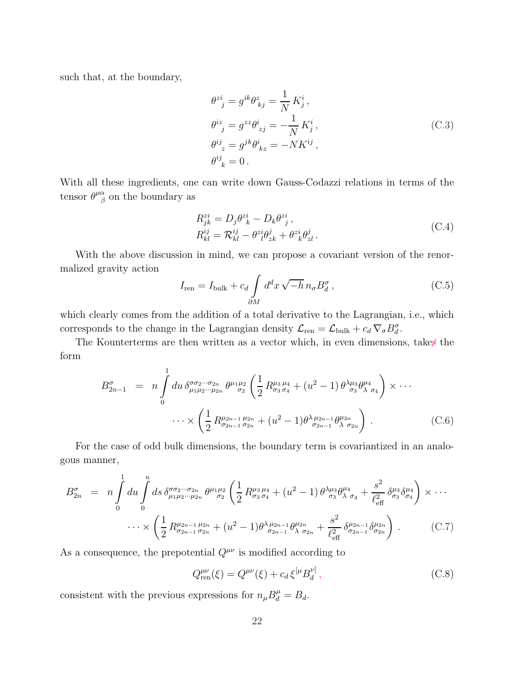such that, at the boundary,

$$
\theta^{zi}_{\quad j} = g^{ik}\theta^{z}_{kj} = \frac{1}{N} K^i_j,
$$
  
\n
$$
\theta^{iz}_{\quad j} = g^{zz}\theta^i_{zj} = -\frac{1}{N} K^i_j,
$$
  
\n
$$
\theta^{ij}_{\ z} = g^{jk}\theta^i_{\ kz} = -NK^{ij},
$$
  
\n
$$
\theta^{ij}_{\ k} = 0.
$$
\n(C.3)

With all these ingredients, one can write down Gauss-Codazzi relations in terms of the tensor  $\theta^{\mu\alpha}_{\ \beta}$  $\frac{\alpha}{\beta}$  on the boundary as

$$
R_{jk}^{zi} = D_j \theta_{k}^{zi} - D_k \theta_{j}^{zi},
$$
  
\n
$$
R_{kl}^{ij} = \mathcal{R}_{kl}^{ij} - \theta_{l}^{zi} \theta_{zk}^{j} + \theta_{k}^{zi} \theta_{zl}^{j}.
$$
\n(C.4)

With the above discussion in mind, we can propose a covariant version of the renormalized gravity action

$$
I_{\rm ren} = I_{\rm bulk} + c_d \int_{\partial M} d^d x \sqrt{-h} \, n_{\sigma} B_d^{\sigma} , \qquad (C.5)
$$

which clearly comes from the addition of a total derivative to the Lagrangian, i.e., which corresponds to the change in the Lagrangian density  $\mathcal{L}_{ren} = \mathcal{L}_{bulk} + c_d \nabla_{\sigma} B_d^{\sigma}$ .

The Kounterterms are then written as a vector which, in even dimensions, takes the form

$$
B_{2n-1}^{\sigma} = n \int_{0}^{1} du \, \delta_{\mu_{1}\mu_{2}\cdots\mu_{2n}}^{\sigma\sigma_{2}\cdots\sigma_{2n}} \theta^{\mu_{1}\mu_{2}} \left(\frac{1}{2} R_{\sigma_{3}\sigma_{4}}^{\mu_{3}\mu_{4}} + (u^{2} - 1) \theta^{\lambda\mu_{3}}_{\sigma_{3}} \theta^{\mu_{4}}_{\lambda \sigma_{4}}\right) \times \cdots
$$

$$
\cdots \times \left(\frac{1}{2} R_{\sigma_{2n-1}\sigma_{2n}}^{\mu_{2n-1}\mu_{2n}} + (u^{2} - 1) \theta^{\lambda\mu_{2n-1}}_{\sigma_{2n-1}} \theta^{\mu_{2n}}_{\lambda \sigma_{2n}}\right).
$$
(C.6)

For the case of odd bulk dimensions, the boundary term is covariantized in an analogous manner,

$$
B_{2n}^{\sigma} = n \int_{0}^{1} du \int_{0}^{u} ds \, \delta_{\mu_{1} \mu_{2} \cdots \mu_{2n}}^{\sigma \sigma_{2} \cdots \sigma_{2n}} \theta^{\mu_{1} \mu_{2}} \left( \frac{1}{2} R_{\sigma_{3} \sigma_{4}}^{\mu_{3} \mu_{4}} + (u^{2} - 1) \theta^{\lambda \mu_{3}} \theta^{\mu_{4}}_{\sigma_{3}} + \frac{s^{2}}{\ell_{\text{eff}}^{2}} \delta_{\sigma_{3}}^{\mu_{3}} \delta_{\sigma_{4}}^{\mu_{4}} \right) \times \cdots \times \left( \frac{1}{2} R_{\sigma_{2n-1} \sigma_{2n}}^{\mu_{2n-1} \mu_{2n}} + (u^{2} - 1) \theta^{\lambda \mu_{2n-1}} \theta^{\mu_{2n}}_{\sigma_{2n-1}} + \frac{s^{2}}{\ell_{\text{eff}}^{2}} \delta_{\sigma_{2n-1}}^{\mu_{2n-1}} \delta_{\sigma_{2n}}^{\mu_{2n}} \right) . \tag{C.7}
$$

As a consequence, the prepotential  $Q^{\mu\nu}$  is modified according to

$$
Q_{\text{ren}}^{\mu\nu}(\xi) = Q^{\mu\nu}(\xi) + c_d \,\xi^{[\mu} B_d^{\nu]},\tag{C.8}
$$

consistent with the previous expressions for  $n_{\mu}B^{\mu}_{d} = B_{d}$ .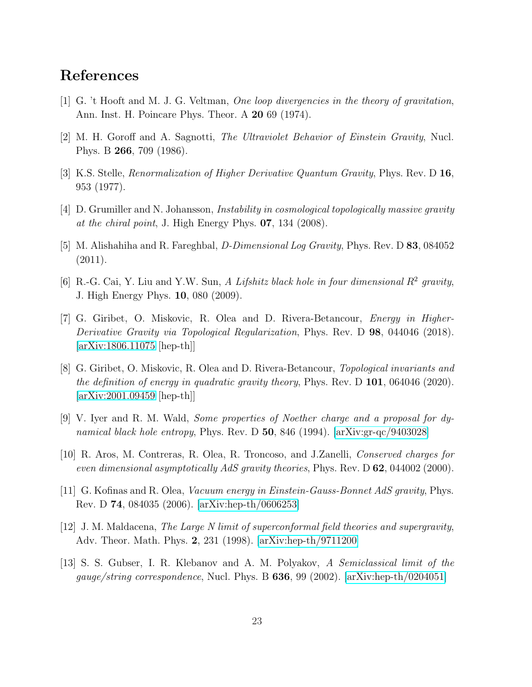### <span id="page-22-0"></span>References

- <span id="page-22-1"></span>[1] G. 't Hooft and M. J. G. Veltman, One loop divergencies in the theory of gravitation, Ann. Inst. H. Poincare Phys. Theor. A 20 69 (1974).
- <span id="page-22-2"></span>[2] M. H. Goroff and A. Sagnotti, The Ultraviolet Behavior of Einstein Gravity, Nucl. Phys. B 266, 709 (1986).
- <span id="page-22-3"></span>[3] K.S. Stelle, Renormalization of Higher Derivative Quantum Gravity, Phys. Rev. D 16, 953 (1977).
- <span id="page-22-4"></span>[4] D. Grumiller and N. Johansson, Instability in cosmological topologically massive gravity at the chiral point, J. High Energy Phys.  $07$ , 134 (2008).
- <span id="page-22-5"></span>[5] M. Alishahiha and R. Fareghbal, D-Dimensional Log Gravity, Phys. Rev. D 83, 084052 (2011).
- <span id="page-22-6"></span>[6] R.-G. Cai, Y. Liu and Y.W. Sun, A Lifshitz black hole in four dimensional  $R^2$  gravity, J. High Energy Phys. 10, 080 (2009).
- [7] G. Giribet, O. Miskovic, R. Olea and D. Rivera-Betancour, Energy in Higher-Derivative Gravity via Topological Regularization, Phys. Rev. D 98, 044046 (2018). [\[arXiv:1806.11075](http://arxiv.org/abs/1806.11075) [hep-th]]
- <span id="page-22-7"></span>[8] G. Giribet, O. Miskovic, R. Olea and D. Rivera-Betancour, Topological invariants and the definition of energy in quadratic gravity theory, Phys. Rev. D  $101$ , 064046 (2020). [\[arXiv:2001.09459](http://arxiv.org/abs/2001.09459) [hep-th]]
- <span id="page-22-9"></span><span id="page-22-8"></span>[9] V. Iyer and R. M. Wald, Some properties of Noether charge and a proposal for dynamical black hole entropy, Phys. Rev. D  $50$ , 846 (1994). [\[arXiv:gr-qc/9403028\]](http://arxiv.org/abs/gr-qc/9403028)
- <span id="page-22-10"></span>[10] R. Aros, M. Contreras, R. Olea, R. Troncoso, and J.Zanelli, Conserved charges for even dimensional asymptotically AdS gravity theories, Phys. Rev. D 62, 044002 (2000).
- <span id="page-22-11"></span>[11] G. Kofinas and R. Olea, Vacuum energy in Einstein-Gauss-Bonnet AdS gravity, Phys. Rev. D 74, 084035 (2006). [\[arXiv:hep-th/0606253\]](http://arxiv.org/abs/hep-th/0606253)
- <span id="page-22-12"></span>[12] J. M. Maldacena, The Large N limit of superconformal field theories and supergravity, Adv. Theor. Math. Phys. 2, 231 (1998). [\[arXiv:hep-th/9711200\]](http://arxiv.org/abs/hep-th/9711200)
- [13] S. S. Gubser, I. R. Klebanov and A. M. Polyakov, A Semiclassical limit of the gauge/string correspondence, Nucl. Phys. B  $636$ , 99 (2002). [\[arXiv:hep-th/0204051\]](http://arxiv.org/abs/hep-th/0204051)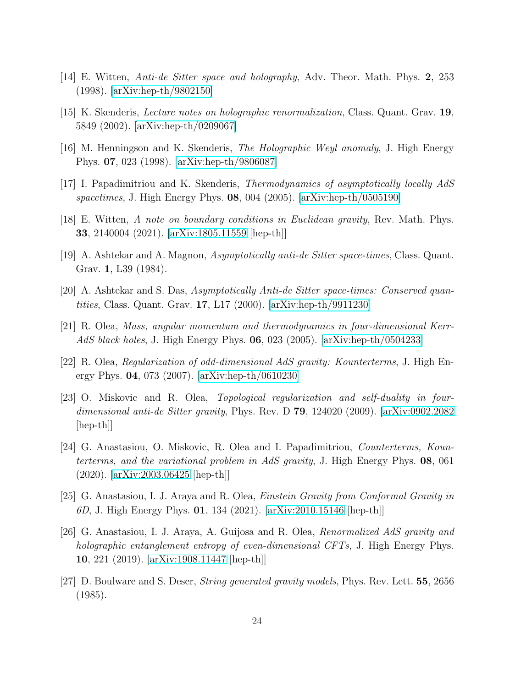- <span id="page-23-1"></span><span id="page-23-0"></span>[14] E. Witten, Anti-de Sitter space and holography, Adv. Theor. Math. Phys. 2, 253 (1998). [\[arXiv:hep-th/9802150\]](http://arxiv.org/abs/hep-th/9802150)
- <span id="page-23-2"></span>[15] K. Skenderis, Lecture notes on holographic renormalization, Class. Quant. Grav. 19, 5849 (2002). [\[arXiv:hep-th/0209067\]](http://arxiv.org/abs/hep-th/0209067)
- <span id="page-23-3"></span>[16] M. Henningson and K. Skenderis, The Holographic Weyl anomaly, J. High Energy Phys. 07, 023 (1998). [\[arXiv:hep-th/9806087\]](http://arxiv.org/abs/hep-th/9806087)
- <span id="page-23-4"></span>[17] I. Papadimitriou and K. Skenderis, Thermodynamics of asymptotically locally AdS spacetimes, J. High Energy Phys.  $08$ ,  $004$  (2005). [\[arXiv:hep-th/0505190\]](http://arxiv.org/abs/hep-th/0505190)
- <span id="page-23-5"></span>[18] E. Witten, A note on boundary conditions in Euclidean gravity, Rev. Math. Phys. 33, 2140004 (2021). [\[arXiv:1805.11559](http://arxiv.org/abs/1805.11559) [hep-th]]
- <span id="page-23-6"></span>[19] A. Ashtekar and A. Magnon, Asymptotically anti-de Sitter space-times, Class. Quant. Grav. 1, L39 (1984).
- <span id="page-23-7"></span>[20] A. Ashtekar and S. Das, Asymptotically Anti-de Sitter space-times: Conserved quantities, Class. Quant. Grav. 17, L17 (2000). [\[arXiv:hep-th/9911230\]](http://arxiv.org/abs/hep-th/9911230)
- <span id="page-23-8"></span>[21] R. Olea, Mass, angular momentum and thermodynamics in four-dimensional Kerr-AdS black holes, J. High Energy Phys.  $06, 023$  (2005). [\[arXiv:hep-th/0504233\]](http://arxiv.org/abs/hep-th/0504233)
- <span id="page-23-9"></span>[22] R. Olea, Regularization of odd-dimensional AdS gravity: Kounterterms, J. High Energy Phys. 04, 073 (2007). [\[arXiv:hep-th/0610230\]](http://arxiv.org/abs/hep-th/0610230)
- [23] O. Miskovic and R. Olea, Topological regularization and self-duality in fourdimensional anti-de Sitter gravity, Phys. Rev. D  $79$ , 124020 (2009). [\[arXiv:0902.2082](http://arxiv.org/abs/0902.2082) [hep-th]]
- <span id="page-23-10"></span>[24] G. Anastasiou, O. Miskovic, R. Olea and I. Papadimitriou, Counterterms, Kounterterms, and the variational problem in AdS gravity, J. High Energy Phys. 08, 061 (2020). [\[arXiv:2003.06425](http://arxiv.org/abs/2003.06425) [hep-th]]
- <span id="page-23-12"></span><span id="page-23-11"></span>[25] G. Anastasiou, I. J. Araya and R. Olea, Einstein Gravity from Conformal Gravity in 6D, J. High Energy Phys. 01, 134 (2021). [\[arXiv:2010.15146](http://arxiv.org/abs/2010.15146) [hep-th]]
- [26] G. Anastasiou, I. J. Araya, A. Guijosa and R. Olea, Renormalized AdS gravity and holographic entanglement entropy of even-dimensional CFTs, J. High Energy Phys. 10, 221 (2019). [\[arXiv:1908.11447](http://arxiv.org/abs/1908.11447) [hep-th]]
- <span id="page-23-13"></span>[27] D. Boulware and S. Deser, String generated gravity models, Phys. Rev. Lett. 55, 2656 (1985).